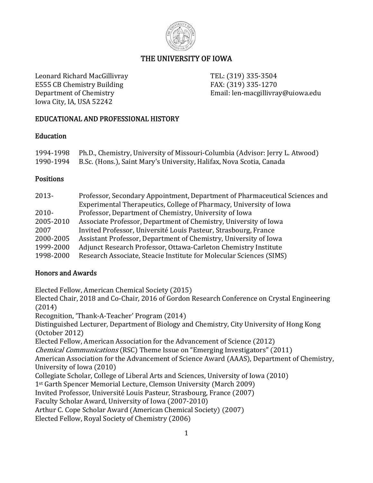

# THE UNIVERSITY OF IOWA

Leonard Richard MacGillivray TEL: (319) 335-3504 E555 CB Chemistry Building  $FAX: (319)$  335-1270 Iowa City, IA, USA 52242

Department of Chemistry **Email:** len-macgillivray@uiowa.edu

### EDUCATIONAL AND PROFESSIONAL HISTORY

### **Education**

| 1994-1998 Ph.D., Chemistry, University of Missouri-Columbia (Advisor: Jerry L. Atwood) |
|----------------------------------------------------------------------------------------|
| 1990-1994 B.Sc. (Hons.), Saint Mary's University, Halifax, Nova Scotia, Canada         |

### **Positions**

| Professor, Secondary Appointment, Department of Pharmaceutical Sciences and |
|-----------------------------------------------------------------------------|
| Experimental Therapeutics, College of Pharmacy, University of Iowa          |
| Professor, Department of Chemistry, University of Iowa                      |
| Associate Professor, Department of Chemistry, University of Iowa            |
| Invited Professor, Université Louis Pasteur, Strasbourg, France             |
| Assistant Professor, Department of Chemistry, University of Iowa            |
| Adjunct Research Professor, Ottawa-Carleton Chemistry Institute             |
| Research Associate, Steacie Institute for Molecular Sciences (SIMS)         |
|                                                                             |

# Honors and Awards

Elected Fellow, American Chemical Society (2015)

Elected Chair, 2018 and Co-Chair, 2016 of Gordon Research Conference on Crystal Engineering  $(2014)$ 

Recognition, 'Thank-A-Teacher' Program (2014)

Distinguished Lecturer, Department of Biology and Chemistry, City University of Hong Kong  $(October 2012)$ 

Elected Fellow, American Association for the Advancement of Science (2012)

*Chemical Communications* (RSC) Theme Issue on "Emerging Investigators" (2011)

American Association for the Advancement of Science Award (AAAS), Department of Chemistry, University of Iowa (2010)

Collegiate Scholar, College of Liberal Arts and Sciences, University of Iowa (2010)

 $1<sup>st</sup> Garth Spencer Memorial Lecture, Clemson University (March 2009)$ 

Invited Professor, Université Louis Pasteur, Strasbourg, France (2007)

Faculty Scholar Award, University of Iowa (2007-2010)

Arthur C. Cope Scholar Award (American Chemical Society) (2007)

Elected Fellow, Royal Society of Chemistry (2006)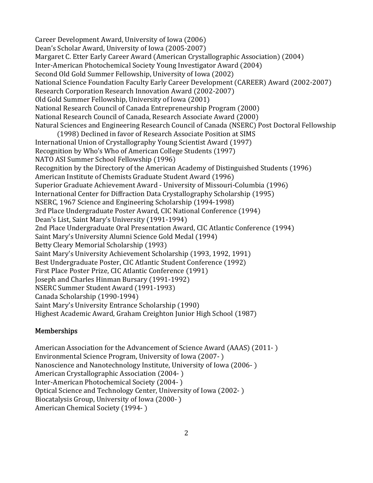Career Development Award, University of Iowa (2006) Dean's Scholar Award, University of Iowa (2005-2007) Margaret C. Etter Early Career Award (American Crystallographic Association) (2004) Inter-American Photochemical Society Young Investigator Award (2004) Second Old Gold Summer Fellowship, University of Iowa (2002) National Science Foundation Faculty Early Career Development (CAREER) Award (2002-2007) Research Corporation Research Innovation Award (2002-2007) Old Gold Summer Fellowship, University of Iowa (2001) National Research Council of Canada Entrepreneurship Program (2000) National Research Council of Canada, Research Associate Award (2000) Natural Sciences and Engineering Research Council of Canada (NSERC) Post Doctoral Fellowship (1998) Declined in favor of Research Associate Position at SIMS International Union of Crystallography Young Scientist Award (1997) Recognition by Who's Who of American College Students (1997) NATO ASI Summer School Fellowship (1996) Recognition by the Directory of the American Academy of Distinguished Students (1996) American Institute of Chemists Graduate Student Award (1996) Superior Graduate Achievement Award - University of Missouri-Columbia (1996) International Center for Diffraction Data Crystallography Scholarship (1995) NSERC, 1967 Science and Engineering Scholarship (1994-1998) 3rd Place Undergraduate Poster Award, CIC National Conference (1994) Dean's List, Saint Mary's University (1991-1994) 2nd Place Undergraduate Oral Presentation Award, CIC Atlantic Conference (1994) Saint Mary's University Alumni Science Gold Medal (1994) Betty Cleary Memorial Scholarship (1993) Saint Mary's University Achievement Scholarship (1993, 1992, 1991) Best Undergraduate Poster, CIC Atlantic Student Conference (1992) First Place Poster Prize, CIC Atlantic Conference (1991) Joseph and Charles Hinman Bursary (1991-1992) NSERC Summer Student Award (1991-1993) Canada Scholarship (1990-1994) Saint Mary's University Entrance Scholarship (1990) Highest Academic Award, Graham Creighton Junior High School (1987)

### Memberships

American Association for the Advancement of Science Award (AAAS) (2011-) Environmental Science Program, University of Iowa (2007-) Nanoscience and Nanotechnology Institute, University of Iowa (2006-) American Crystallographic Association (2004-) Inter-American Photochemical Society (2004-) Optical Science and Technology Center, University of Iowa (2002-) Biocatalysis Group, University of Iowa (2000-) American Chemical Society (1994-)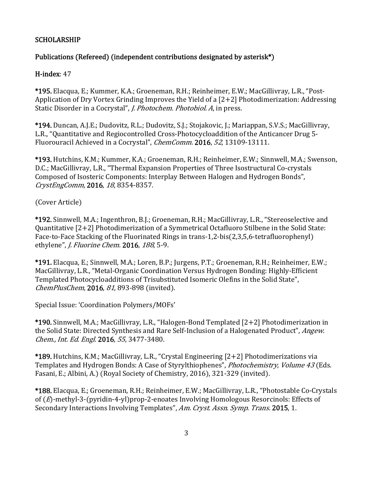### **SCHOLARSHIP**

### Publications (Refereed) (independent contributions designated by asterisk\*)

#### H-index: 47

\*195. Elacqua, E.; Kummer, K.A.; Groeneman, R.H.; Reinheimer, E.W.; MacGillivray, L.R., "Post-Application of Dry Vortex Grinding Improves the Yield of a  $[2+2]$  Photodimerization: Addressing Static Disorder in a Cocrystal", *J. Photochem. Photobiol. A*, in press.

\*194. Duncan, A.J.E.; Dudovitz, R.L.; Dudovitz, S.J.; Stojakovic, J.; Mariappan, S.V.S.; MacGillivray, L.R., "Quantitative and Regiocontrolled Cross-Photocycloaddition of the Anticancer Drug 5-Fluorouracil Achieved in a Cocrystal", *ChemComm.* 2016, 52, 13109-13111.

\*193. Hutchins, K.M.; Kummer, K.A.; Groeneman, R.H.; Reinheimer, E.W.; Sinnwell, M.A.; Swenson, D.C.: MacGillivray, L.R., "Thermal Expansion Properties of Three Isostructural Co-crystals Composed of Isosteric Components: Interplay Between Halogen and Hydrogen Bonds", CrystEngComm, 2016, 18, 8354-8357.

(Cover Article)

\*192. Sinnwell, M.A.; Ingenthron, B.J.; Groeneman, R.H.; MacGillivray, L.R., "Stereoselective and Quantitative  $[2+2]$  Photodimerization of a Symmetrical Octafluoro Stilbene in the Solid State: Face-to-Face Stacking of the Fluorinated Rings in trans-1,2-bis(2,3,5,6-tetrafluorophenyl) ethylene", *J. Fluorine Chem.* 2016, 188, 5-9.

\*191. Elacqua, E.; Sinnwell, M.A.; Loren, B.P.; Jurgens, P.T.; Groeneman, R.H.; Reinheimer, E.W.; MacGillivray, L.R., "Metal-Organic Coordination Versus Hydrogen Bonding: Highly-Efficient Templated Photocycloadditions of Trisubstituted Isomeric Olefins in the Solid State", ChemPlusChem, 2016, 81, 893-898 (invited).

Special Issue: 'Coordination Polymers/MOFs'

\*190. Sinnwell, M.A.; MacGillivray, L.R., "Halogen-Bond Templated [2+2] Photodimerization in the Solid State: Directed Synthesis and Rare Self-Inclusion of a Halogenated Product", Angew. Chem., Int. Ed. Engl. 2016, 55, 3477-3480.

\*189. Hutchins, K.M.; MacGillivray, L.R., "Crystal Engineering [2+2] Photodimerizations via Templates and Hydrogen Bonds: A Case of Styrylthiophenes", *Photochemistry, Volume 43* (Eds. Fasani, E.; Albini, A.) (Royal Society of Chemistry, 2016), 321-329 (invited).

\*188. Elacqua, E.; Groeneman, R.H.; Reinheimer, E.W.; MacGillivray, L.R., "Photostable Co-Crystals of  $(E)$ -methyl-3-(pyridin-4-yl)prop-2-enoates Involving Homologous Resorcinols: Effects of Secondary Interactions Involving Templates", Am. Cryst. Assn. Symp. Trans. 2015, 1.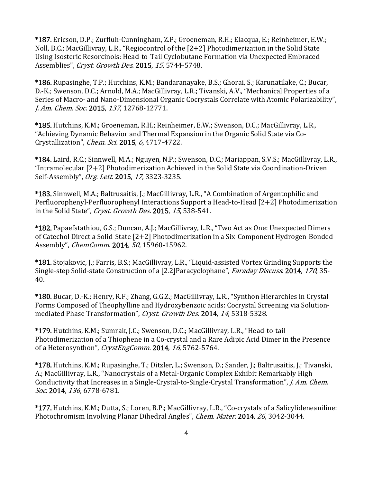\*187. Ericson, D.P.; Zurfluh-Cunningham, Z.P.; Groeneman, R.H.; Elacqua, E.; Reinheimer, E.W.; Noll, B.C.; MacGillivray, L.R., "Regiocontrol of the  $[2+2]$  Photodimerization in the Solid State Using Isosteric Resorcinols: Head-to-Tail Cyclobutane Formation via Unexpected Embraced Assemblies", Cryst. Growth Des. 2015, 15, 5744-5748.

\*186. Rupasinghe, T.P.; Hutchins, K.M.; Bandaranayake, B.S.; Ghorai, S.; Karunatilake, C.; Bucar, D.-K.; Swenson, D.C.; Arnold, M.A.; MacGillivray, L.R.; Tivanski, A.V., "Mechanical Properties of a Series of Macro- and Nano-Dimensional Organic Cocrystals Correlate with Atomic Polarizability", J. Am. Chem. Soc. 2015, 137, 12768-12771.

\*185. Hutchins, K.M.; Groeneman, R.H.; Reinheimer, E.W.; Swenson, D.C.; MacGillivray, L.R., "Achieving Dynamic Behavior and Thermal Expansion in the Organic Solid State via Co-Crystallization", *Chem. Sci.* 2015, 6, 4717-4722.

\*184. Laird, R.C.; Sinnwell, M.A.; Nguyen, N.P.; Swenson, D.C.; Mariappan, S.V.S.; MacGillivray, L.R., "Intramolecular  $[2+2]$  Photodimerization Achieved in the Solid State via Coordination-Driven Self-Assembly", Org. Lett. 2015, 17, 3323-3235.

\*183. Sinnwell, M.A.; Baltrusaitis, J.; MacGillivray, L.R., "A Combination of Argentophilic and Perfluorophenyl-Perfluorophenyl Interactions Support a Head-to-Head  $[2+2]$  Photodimerization in the Solid State", Cryst. Growth Des. 2015, 15, 538-541.

\*182. Papaefstathiou, G.S.; Duncan, A.J.; MacGillivray, L.R., "Two Act as One: Unexpected Dimers of Catechol Direct a Solid-State [2+2] Photodimerization in a Six-Component Hydrogen-Bonded Assembly", *ChemComm.* 2014, 50, 15960-15962.

\*181. Stojakovic, J.; Farris, B.S.; MacGillivray, L.R., "Liquid-assisted Vortex Grinding Supports the Single-step Solid-state Construction of a [2.2]Paracyclophane", Faraday Discuss. 2014, 170, 35-40. 

\*180. Bucar, D.-K.; Henry, R.F.; Zhang, G.G.Z.; MacGillivray, L.R., "Synthon Hierarchies in Crystal Forms Composed of Theophylline and Hydroxybenzoic acids: Cocrystal Screening via Solutionmediated Phase Transformation", Cryst. Growth Des. 2014, 14, 5318-5328.

\*179. Hutchins, K.M.; Sumrak, J.C.; Swenson, D.C.; MacGillivray, L.R., "Head-to-tail Photodimerization of a Thiophene in a Co-crystal and a Rare Adipic Acid Dimer in the Presence of a Heterosynthon", CrystEngComm. 2014, 16, 5762-5764.

\*178. Hutchins, K.M.; Rupasinghe, T.; Ditzler, L.; Swenson, D.; Sander, J.; Baltrusaitis, J.; Tivanski, A.; MacGillivray, L.R., "Nanocrystals of a Metal-Organic Complex Exhibit Remarkably High Conductivity that Increases in a Single-Crystal-to-Single-Crystal Transformation", *J. Am. Chem.* Soc. 2014, 136, 6778-6781.

\*177. Hutchins, K.M.; Dutta, S.; Loren, B.P.; MacGillivray, L.R., "Co-crystals of a Salicylideneaniline: Photochromism Involving Planar Dihedral Angles", *Chem. Mater.* 2014, 26, 3042-3044.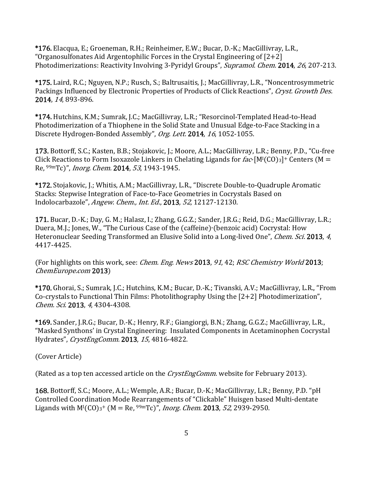\*176. Elacqua, E.; Groeneman, R.H.; Reinheimer, E.W.; Bucar, D.-K.; MacGillivray, L.R., "Organosulfonates Aid Argentophilic Forces in the Crystal Engineering of  $[2+2]$ Photodimerizations: Reactivity Involving 3-Pyridyl Groups", Supramol. Chem. 2014, 26, 207-213.

\*175. Laird, R.C.; Nguyen, N.P.; Rusch, S.; Baltrusaitis, J.; MacGillivray, L.R., "Noncentrosymmetric Packings Influenced by Electronic Properties of Products of Click Reactions", Cryst. Growth Des. 2014, 14, 893-896.

\*174. Hutchins, K.M.; Sumrak, J.C.; MacGillivray, L.R.; "Resorcinol-Templated Head-to-Head Photodimerization of a Thiophene in the Solid State and Unusual Edge-to-Face Stacking in a Discrete Hydrogen-Bonded Assembly", Org. Lett. 2014, 16, 1052-1055.

173. Bottorff, S.C.; Kasten, B.B.; Stojakovic, J.; Moore, A.L.; MacGillivray, L.R.; Benny, P.D., "Cu-free Click Reactions to Form Isoxazole Linkers in Chelating Ligands for  $fac$ - $[M<sup>T</sup>(CO)<sub>3</sub>]$ + Centers (M = Re,  $99mTc$ , *Inorg. Chem.* **2014**, 53, 1943-1945.

\*172. Stojakovic, J.; Whitis, A.M.; MacGillivray, L.R., "Discrete Double-to-Quadruple Aromatic Stacks: Stepwise Integration of Face-to-Face Geometries in Cocrystals Based on Indolocarbazole", Angew. Chem., Int. Ed., 2013, 52, 12127-12130.

171. Bucar, D.-K.; Day, G. M.; Halasz, I.; Zhang, G.G.Z.; Sander, J.R.G.; Reid, D.G.; MacGillivray, L.R.; Duera, M.J.; Jones, W., "The Curious Case of the (caffeine)∙(benzoic acid) Cocrystal: How Heteronuclear Seeding Transformed an Elusive Solid into a Long-lived One", *Chem. Sci.* 2013, 4, 4417‐4425. 

(For highlights on this work, see: *Chem. Eng. News* 2013, 91, 42; RSC Chemistry World 2013; ChemEurope.com 2013)

\*170. Ghorai, S.; Sumrak, J.C.; Hutchins, K.M.; Bucar, D.-K.; Tivanski, A.V.; MacGillivray, L.R., "From Co-crystals to Functional Thin Films: Photolithography Using the  $[2+2]$  Photodimerization", Chem. Sci. 2013, 4, 4304-4308.

\*169. Sander, J.R.G.; Bucar, D.-K.; Henry, R.F.; Giangiorgi, B.N.; Zhang, G.G.Z.; MacGillivray, L.R., "Masked Synthons' in Crystal Engineering: Insulated Components in Acetaminophen Cocrystal Hydrates", CrystEngComm. 2013, 15, 4816-4822.

(Cover Article)

(Rated as a top ten accessed article on the *CrystEngComm*. website for February 2013).

168. Bottorff, S.C.; Moore, A.L.; Wemple, A.R.; Bucar, D.-K.; MacGillivray, L.R.; Benny, P.D. "pH Controlled Coordination Mode Rearrangements of "Clickable" Huisgen based Multi-dentate Ligands with  $M^{1}(CO)_{3}^{+}$  (M = Re, <sup>99m</sup>Tc)", *Inorg. Chem.* **2013**, 52, 2939-2950.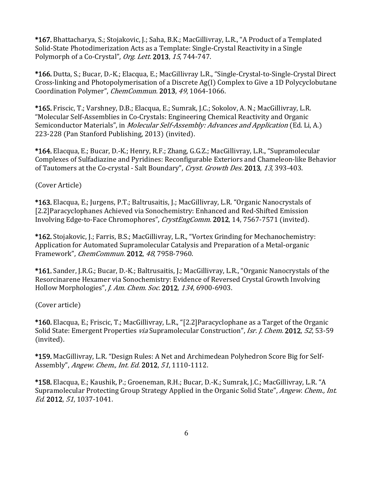\*167. Bhattacharya, S.; Stojakovic, J.; Saha, B.K.; MacGillivray, L.R., "A Product of a Templated Solid-State Photodimerization Acts as a Template: Single-Crystal Reactivity in a Single Polymorph of a Co-Crystal", Org. Lett. 2013, 15, 744-747.

\*166. Dutta, S.; Bucar, D.-K.; Elacqua, E.; MacGillivray L.R., "Single-Crystal-to-Single-Crystal Direct Cross-linking and Photopolymerisation of a Discrete Ag(I) Complex to Give a 1D Polycyclobutane Coordination Polymer", *ChemCommun.* 2013, 49, 1064-1066.

\*165. Friscic, T.; Varshney, D.B.; Elacqua, E.; Sumrak, J.C.; Sokolov, A. N.; MacGillivray, L.R. "Molecular Self-Assemblies in Co-Crystals: Engineering Chemical Reactivity and Organic Semiconductor Materials", in *Molecular Self-Assembly: Advances and Application* (Ed. Li, A.) 223-228 (Pan Stanford Publishing, 2013) (invited).

\*164. Elacqua, E.; Bucar, D.-K.; Henry, R.F.; Zhang, G.G.Z.; MacGillivray, L.R., "Supramolecular" Complexes of Sulfadiazine and Pyridines: Reconfigurable Exteriors and Chameleon-like Behavior of Tautomers at the Co-crystal - Salt Boundary", Cryst. Growth Des. 2013, 13, 393-403.

(Cover Article)

\*163. Elacqua, E.; Jurgens, P.T.; Baltrusaitis, J.; MacGillivray, L.R. "Organic Nanocrystals of [2.2]Paracyclophanes Achieved via Sonochemistry: Enhanced and Red-Shifted Emission Involving Edge-to-Face Chromophores", CrystEngComm. 2012, 14, 7567-7571 (invited).

\*162. Stojakovic, J.; Farris, B.S.; MacGillivray, L.R., "Vortex Grinding for Mechanochemistry: Application for Automated Supramolecular Catalysis and Preparation of a Metal-organic Framework", *ChemCommun.* 2012, 48, 7958-7960.

\*161. Sander, J.R.G.; Bucar, D.-K.; Baltrusaitis, J.; MacGillivray, L.R., "Organic Nanocrystals of the Resorcinarene Hexamer via Sonochemistry: Evidence of Reversed Crystal Growth Involving Hollow Morphologies", *J. Am. Chem. Soc.* 2012, 134, 6900-6903.

(Cover article)

\*160. Elacqua, E.; Friscic, T.; MacGillivray, L.R., "[2.2] Paracyclophane as a Target of the Organic Solid State: Emergent Properties *via* Supramolecular Construction", *Isr. J. Chem.* 2012, 52, 53-59 (invited).

\*159. MacGillivray, L.R. "Design Rules: A Net and Archimedean Polyhedron Score Big for Self-Assembly", *Angew. Chem., Int. Ed.* 2012, 51, 1110-1112.

\*158. Elacqua, E.; Kaushik, P.; Groeneman, R.H.; Bucar, D.-K.; Sumrak, J.C.; MacGillivray, L.R. "A Supramolecular Protecting Group Strategy Applied in the Organic Solid State", *Angew. Chem., Int.* Ed. 2012, 51, 1037-1041.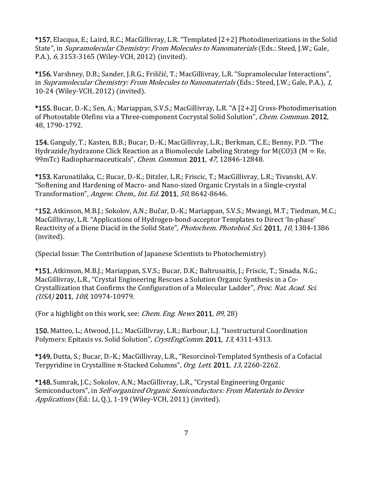\*157. Elacqua, E.; Laird, R.C.; MacGillivray, L.R. "Templated [2+2] Photodimerizations in the Solid State", in Supramolecular Chemistry: From Molecules to Nanomaterials (Eds.: Steed, J.W.; Gale, P.A.), 6, 3153-3165 (Wiley-VCH, 2012) (invited).

\*156. Varshney, D.B.; Sander, J.R.G.; Friščić, T.; MacGillivray, L.R. "Supramolecular Interactions", in Supramolecular Chemistry: From Molecules to Nanomaterials (Eds.: Steed, J.W.; Gale, P.A.), 1, 10-24 (Wiley-VCH, 2012) (invited).

\*155. Bucar, D.-K.; Sen, A.; Mariappan, S.V.S.; MacGillivray, L.R. "A [2+2] Cross-Photodimerisation of Photostable Olefins via a Three-component Cocrystal Solid Solution", *Chem. Commun.* 2012, 48, 1790‐1792. 

154. Ganguly, T.; Kasten, B.B.; Bucar, D.-K.; MacGillivray, L.R.; Berkman, C.E.; Benny, P.D. "The Hydrazide/hydrazone Click Reaction as a Biomolecule Labeling Strategy for  $M(CO)$ 3 (M = Re, 99mTc) Radiopharmaceuticals", Chem. Commun. 2011, 47, 12846-12848.

\*153. Karunatilaka, C.; Bucar, D.-K.; Ditzler, L.R.; Friscic, T.; MacGillivray, L.R.; Tivanski, A.V. "Softening and Hardening of Macro- and Nano-sized Organic Crystals in a Single-crystal Transformation", Angew. Chem., Int. Ed. 2011, 50, 8642-8646.

\*152. Atkinson, M.B.J.; Sokolov, A.N.; Bučar, D.-K.; Mariappan, S.V.S.; Mwangi, M.T.; Tiedman, M.C.; MacGillivray, L.R. "Applications of Hydrogen-bond-acceptor Templates to Direct 'In-phase' Reactivity of a Diene Diacid in the Solid State", *Photochem. Photobiol. Sci.* 2011, 10, 1384-1386 (invited).

(Special Issue: The Contribution of Japanese Scientists to Photochemistry)

\*151. Atkinson, M.B.J.; Mariappan, S.V.S.; Bucar, D.K.; Baltrusaitis, J.; Friscic, T.; Sinada, N.G.; MacGillivray, L.R., "Crystal Engineering Rescues a Solution Organic Synthesis in a Co-Crystallization that Confirms the Configuration of a Molecular Ladder", Proc. Nat. Acad. Sci.  $(USA)$  2011,  $108$ , 10974-10979.

(For a highlight on this work, see: *Chem. Eng. News* 2011,  $89$ , 28)

150. Matteo, L.; Atwood, J.L.; MacGillivray, L.R.; Barbour, L.J. "Isostructural Coordination Polymers: Epitaxis vs. Solid Solution", CrystEngComm. 2011, 13, 4311-4313.

\*149. Dutta, S.; Bucar, D.-K.; MacGillivray, L.R., "Resorcinol-Templated Synthesis of a Cofacial Terpyridine in Crystalline  $\pi$ -Stacked Columns", Org. Lett. 2011, 13, 2260-2262.

\*148. Sumrak, J.C.; Sokolov, A.N.; MacGillivray, L.R., "Crystal Engineering Organic Semiconductors", in Self-organized Organic Semiconductors: From Materials to Device Applications (Ed.: Li, Q.), 1-19 (Wiley-VCH, 2011) (invited).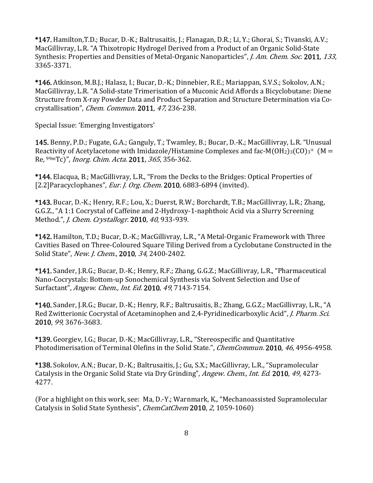\*147. Hamilton, T.D.; Bucar, D.-K.; Baltrusaitis, J.; Flanagan, D.R.; Li, Y.; Ghorai, S.; Tivanski, A.V.; MacGillivray, L.R. "A Thixotropic Hydrogel Derived from a Product of an Organic Solid-State Synthesis: Properties and Densities of Metal-Organic Nanoparticles", *J. Am. Chem. Soc.* 2011, 133, 3365‐3371. 

\*146. Atkinson, M.B.J.; Halasz, I.; Bucar, D.-K.; Dinnebier, R.E.; Mariappan, S.V.S.; Sokolov, A.N.; MacGillivray, L.R. "A Solid-state Trimerisation of a Muconic Acid Affords a Bicyclobutane: Diene Structure from X-ray Powder Data and Product Separation and Structure Determination via Cocrystallisation", *Chem. Commun.* 2011, 47, 236-238.

Special Issue: 'Emerging Investigators'

145. Benny, P.D.; Fugate, G.A.; Ganguly, T.; Twamley, B.; Bucar, D.-K.; MacGillivray, L.R. "Unusual Reactivity of Acetylacetone with Imidazole/Histamine Complexes and fac-M(OH<sub>2</sub>)<sub>3</sub>(CO)<sub>3</sub><sup>+</sup> (M =  $Re, \frac{99m}{C}$ , *Inorg. Chim. Acta.* 2011, 365, 356-362.

\*144. Elacqua, B.; MacGillivray, L.R., "From the Decks to the Bridges: Optical Properties of  $[2.2]$ Paracyclophanes", *Eur. J. Org. Chem.* 2010, 6883-6894 (invited).

\*143. Bucar, D.-K.; Henry, R.F.; Lou, X.; Duerst, R.W.; Borchardt, T.B.; MacGillivray, L.R.; Zhang, G.G.Z., "A 1:1 Cocrystal of Caffeine and 2-Hydroxy-1-naphthoic Acid via a Slurry Screening Method.", *J. Chem. Crystallogr.* 2010, 40, 933-939.

\*142. Hamilton, T.D.; Bucar, D.-K.; MacGillivray, L.R., "A Metal-Organic Framework with Three Cavities Based on Three-Coloured Square Tiling Derived from a Cyclobutane Constructed in the Solid State", New. J. Chem., 2010, 34, 2400-2402.

\*141. Sander, J.R.G.; Bucar, D.-K.; Henry, R.F.; Zhang, G.G.Z.; MacGillivray, L.R., "Pharmaceutical Nano-Cocrystals: Bottom-up Sonochemical Synthesis via Solvent Selection and Use of Surfactant", *Angew. Chem., Int. Ed.* 2010, 49, 7143-7154.

\*140. Sander, J.R.G.; Bucar, D.-K.; Henry, R.F.; Baltrusaitis, B.; Zhang, G.G.Z.; MacGillivray, L.R., "A Red Zwitterionic Cocrystal of Acetaminophen and 2,4-Pyridinedicarboxylic Acid", *J. Pharm. Sci.* 2010, 99, 3676‐3683. 

\*139. Georgiev, I.G.; Bucar, D.-K.; MacGillivray, L.R., "Stereospecific and Quantitative Photodimerisation of Terminal Olefins in the Solid State.", *ChemCommun.* 2010, 46, 4956-4958.

\*138. Sokolov, A.N.; Bucar, D.-K.; Baltrusaitis, J.; Gu, S.X.; MacGillivray, L.R., "Supramolecular Catalysis in the Organic Solid State via Dry Grinding", Angew. Chem., Int. Ed. 2010, 49, 4273-4277. 

(For a highlight on this work, see: Ma, D.-Y.; Warnmark, K., "Mechanoassisted Supramolecular Catalysis in Solid State Synthesis", *ChemCatChem* 2010, 2, 1059-1060)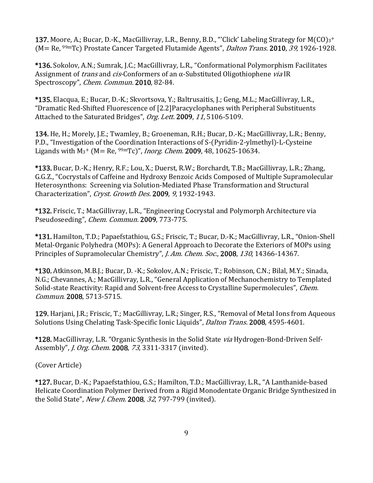137. Moore, A.; Bucar, D.-K., MacGillivray, L.R., Benny, B.D., "'Click' Labeling Strategy for  $M(CO)_{3}$ +  $(M = Re, \frac{99 \text{m}}{\text{TC}})$  Prostate Cancer Targeted Flutamide Agents", *Dalton Trans.* 2010, 39, 1926-1928.

\*136. Sokolov, A.N.; Sumrak, J.C.; MacGillivray, L.R., "Conformational Polymorphism Facilitates Assignment of *trans* and *cis*-Conformers of an  $\alpha$ -Substituted Oligothiophene *via* IR Spectroscopy", *Chem. Commun.* 2010, 82-84.

\*135. Elacqua, E.; Bucar, D.-K.; Skvortsova, Y.; Baltrusaitis, J.; Geng, M.L.; MacGillivray, L.R., "Dramatic Red-Shifted Fluorescence of [2.2]Paracyclophanes with Peripheral Substituents Attached to the Saturated Bridges", Org. Lett. 2009, 11, 5106-5109.

134. He, H.; Morely, J.E.; Twamley, B.; Groeneman, R.H.; Bucar, D.-K.; MacGillivray, L.R.; Benny, P.D., "Investigation of the Coordination Interactions of S-(Pyridin-2-ylmethyl)-L-Cysteine Ligands with  $M_3^+$  (M= Re,  $99mTc$ )", *Inorg. Chem.* 2009, 48, 10625-10634.

\*133. Bucar, D.-K.; Henry, R.F.; Lou, X.; Duerst, R.W.; Borchardt, T.B.; MacGillivray, L.R.; Zhang, G.G.Z., "Cocrystals of Caffeine and Hydroxy Benzoic Acids Composed of Multiple Supramolecular Heterosynthons: Screening via Solution-Mediated Phase Transformation and Structural Characterization", Cryst. Growth Des. 2009, 9, 1932-1943.

\*132. Friscic, T.; MacGillivray, L.R., "Engineering Cocrystal and Polymorph Architecture via Pseudoseeding", *Chem. Commun.* 2009, 773-775.

\*131. Hamilton, T.D.; Papaefstathiou, G.S.; Friscic, T.; Bucar, D.-K.; MacGillivray, L.R., "Onion-Shell Metal-Organic Polyhedra (MOPs): A General Approach to Decorate the Exteriors of MOPs using Principles of Supramolecular Chemistry", J. Am. Chem. Soc., 2008, 130, 14366-14367.

\*130. Atkinson, M.B.J.; Bucar, D. -K.; Sokolov, A.N.; Friscic, T.; Robinson, C.N.; Bilal, M.Y.; Sinada, N.G.; Chevannes, A.; MacGillivray, L.R., "General Application of Mechanochemistry to Templated Solid-state Reactivity: Rapid and Solvent-free Access to Crystalline Supermolecules", *Chem.* Commun. 2008, 5713-5715.

129. Harjani, J.R.; Friscic, T.; MacGillivray, L.R.; Singer, R.S., "Removal of Metal Ions from Aqueous Solutions Using Chelating Task-Specific Ionic Liquids", *Dalton Trans.* 2008, 4595-4601.

\*128. MacGillivray, L.R. "Organic Synthesis in the Solid State *via* Hydrogen-Bond-Driven Self-Assembly", *J. Org. Chem.* 2008, 73, 3311-3317 (invited).

(Cover Article)

\*127. Bucar, D.-K.; Papaefstathiou, G.S.; Hamilton, T.D.; MacGillivray, L.R., "A Lanthanide-based Helicate Coordination Polymer Derived from a Rigid Monodentate Organic Bridge Synthesized in the Solid State", New J. Chem. 2008, 32, 797-799 (invited).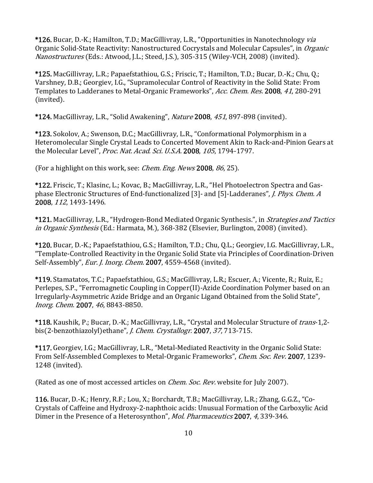\*126. Bucar, D.-K.; Hamilton, T.D.; MacGillivray, L.R., "Opportunities in Nanotechnology *via* Organic Solid-State Reactivity: Nanostructured Cocrystals and Molecular Capsules", in *Organic* Nanostructures (Eds.: Atwood, J.L.; Steed, J.S.), 305-315 (Wiley-VCH, 2008) (invited).

\*125. MacGillivray, L.R.; Papaefstathiou, G.S.; Friscic, T.; Hamilton, T.D.; Bucar, D.-K.; Chu, Q.; Varshney, D.B.; Georgiev, I.G., "Supramolecular Control of Reactivity in the Solid State: From Templates to Ladderanes to Metal-Organic Frameworks", Acc. Chem. Res. 2008, 41, 280-291 (invited).

\*124. MacGillivray, L.R., "Solid Awakening", Nature 2008, 451, 897-898 (invited).

\*123. Sokolov, A.; Swenson, D.C.; MacGillivray, L.R., "Conformational Polymorphism in a Heteromolecular Single Crystal Leads to Concerted Movement Akin to Rack-and-Pinion Gears at the Molecular Level", Proc. Nat. Acad. Sci. U.S.A. 2008, 105, 1794-1797.

(For a highlight on this work, see: *Chem. Eng. News* 2008,  $86$ , 25).

\*122. Friscic, T.; Klasinc, L.; Kovac, B.; MacGillivray, L.R., "Hel Photoelectron Spectra and Gasphase Electronic Structures of End-functionalized [3]- and [5]-Ladderanes", *J. Phys. Chem. A* 2008, 112, 1493-1496.

\*121. MacGillivray, L.R., "Hydrogen-Bond Mediated Organic Synthesis.", in *Strategies and Tactics* in Organic Synthesis (Ed.: Harmata, M.), 368-382 (Elsevier, Burlington, 2008) (invited).

\*120. Bucar, D.-K.; Papaefstathiou, G.S.; Hamilton, T.D.; Chu, O.L.; Georgiev, I.G. MacGillivray, L.R., "Template-Controlled Reactivity in the Organic Solid State via Principles of Coordination-Driven Self-Assembly", *Eur. J. Inorg. Chem.* 2007, 4559-4568 (invited).

\*119. Stamatatos, T.C.; Papaefstathiou, G.S.; MacGillivray, L.R.; Escuer, A.; Vicente, R.; Ruiz, E.; Perlepes, S.P., "Ferromagnetic Coupling in Copper(II)-Azide Coordination Polymer based on an Irregularly-Asymmetric Azide Bridge and an Organic Ligand Obtained from the Solid State", Inorg. Chem. 2007, 46, 8843-8850.

\*118. Kaushik, P.; Bucar, D.-K.; MacGillivray, L.R., "Crystal and Molecular Structure of *trans*-1,2bis(2-benzothiazolyl)ethane", *J. Chem. Crystallogr.* 2007, 37, 713-715.

\*117. Georgiev, I.G.; MacGillivray, L.R., "Metal-Mediated Reactivity in the Organic Solid State: From Self-Assembled Complexes to Metal-Organic Frameworks", *Chem. Soc. Rev.* 2007, 1239-1248 (invited).

(Rated as one of most accessed articles on *Chem. Soc. Rev.* website for July 2007).

116. Bucar, D.-K.; Henry, R.F.; Lou, X.; Borchardt, T.B.; MacGillivray, L.R.; Zhang, G.G.Z., "Co-Crystals of Caffeine and Hydroxy-2-naphthoic acids: Unusual Formation of the Carboxylic Acid Dimer in the Presence of a Heterosynthon", *Mol. Pharmaceutics* 2007, 4, 339-346.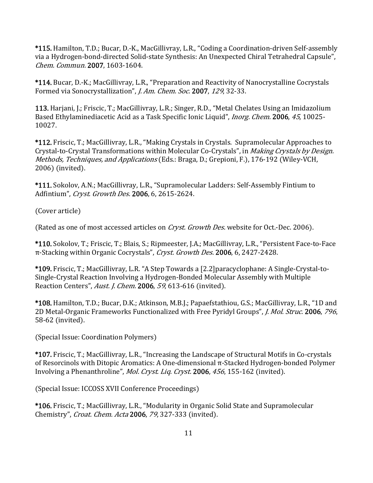\*115. Hamilton, T.D.; Bucar, D.-K., MacGillivray, L.R., "Coding a Coordination-driven Self-assembly via a Hydrogen-bond-directed Solid-state Synthesis: An Unexpected Chiral Tetrahedral Capsule", Chem. Commun. 2007, 1603-1604.

\*114. Bucar, D.-K.; MacGillivray, L.R., "Preparation and Reactivity of Nanocrystalline Cocrystals Formed via Sonocrystallization", *J. Am. Chem. Soc.* 2007, 129, 32-33.

113. Harjani, J.; Friscic, T.; MacGillivray, L.R.; Singer, R.D., "Metal Chelates Using an Imidazolium Based Ethylaminediacetic Acid as a Task Specific Ionic Liquid", *Inorg. Chem.* 2006, 45, 10025-10027. 

\*112. Friscic, T.; MacGillivray, L.R., "Making Crystals in Crystals. Supramolecular Approaches to Crystal-to-Crystal Transformations within Molecular Co-Crystals", in Making Crystals by Design. Methods, Techniques, and Applications (Eds.: Braga, D.; Grepioni, F.), 176-192 (Wiley-VCH, 2006) (invited).

\*111. Sokolov, A.N.; MacGillivray, L.R., "Supramolecular Ladders: Self-Assembly Fintium to Adfintium", Cryst. Growth Des. 2006, 6, 2615-2624.

(Cover article)

(Rated as one of most accessed articles on *Cryst. Growth Des.* website for Oct.-Dec. 2006).

\*110. Sokolov, T.; Friscic, T.; Blais, S.; Ripmeester, J.A.; MacGillivray, L.R., "Persistent Face-to-Face π-Stacking within Organic Cocrystals", Cryst. Growth Des. 2006, 6, 2427-2428.

\*109. Friscic, T.; MacGillivray, L.R. "A Step Towards a [2.2]paracyclophane: A Single-Crystal-to-Single-Crystal Reaction Involving a Hydrogen-Bonded Molecular Assembly with Multiple Reaction Centers", Aust. J. Chem. 2006, 59, 613-616 (invited).

\*108. Hamilton, T.D.; Bucar, D.K.; Atkinson, M.B.J.; Papaefstathiou, G.S.; MacGillivray, L.R., "1D and 2D Metal-Organic Frameworks Functionalized with Free Pyridyl Groups", *J. Mol. Struc.* 2006, 796, 58-62 (invited).

(Special Issue: Coordination Polymers)

\*107. Friscic, T.; MacGillivray, L.R., "Increasing the Landscape of Structural Motifs in Co-crystals of Resorcinols with Ditopic Aromatics: A One-dimensional  $\pi$ -Stacked Hydrogen-bonded Polymer Involving a Phenanthroline", Mol. Cryst. Liq. Cryst. 2006, 456, 155-162 (invited).

(Special Issue: ICCOSS XVII Conference Proceedings)

\*106. Friscic, T.; MacGillivray, L.R., "Modularity in Organic Solid State and Supramolecular Chemistry", *Croat. Chem. Acta* 2006, 79, 327-333 (invited).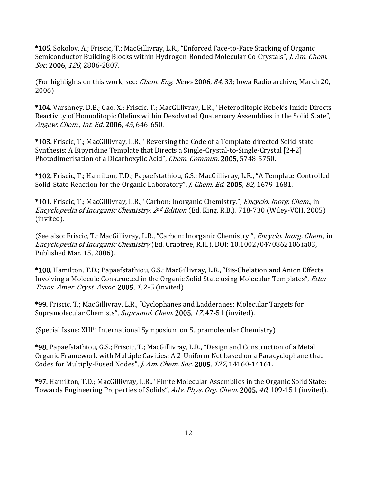\*105. Sokolov, A.; Friscic, T.; MacGillivray, L.R., "Enforced Face-to-Face Stacking of Organic Semiconductor Building Blocks within Hydrogen-Bonded Molecular Co-Crystals", *J. Am. Chem.* Soc. 2006, 128, 2806-2807.

(For highlights on this work, see: *Chem. Eng. News* 2006, 84, 33; Iowa Radio archive, March 20, 2006)

\*104. Varshney, D.B.; Gao, X.; Friscic, T.; MacGillivray, L.R., "Heteroditopic Rebek's Imide Directs Reactivity of Homoditopic Olefins within Desolvated Quaternary Assemblies in the Solid State", Angew. Chem., Int. Ed. 2006, 45, 646-650.

\*103. Friscic, T.; MacGillivray, L.R., "Reversing the Code of a Template-directed Solid-state Synthesis: A Bipyridine Template that Directs a Single-Crystal-to-Single-Crystal  $[2+2]$ Photodimerisation of a Dicarboxylic Acid", *Chem. Commun.* 2005, 5748-5750.

\*102. Friscic, T.; Hamilton, T.D.; Papaefstathiou, G.S.; MacGillivray, L.R., "A Template-Controlled Solid-State Reaction for the Organic Laboratory", *J. Chem. Ed.* 2005, 82, 1679-1681.

\*101. Friscic, T.; MacGillivray, L.R., "Carbon: Inorganic Chemistry.", *Encyclo. Inorg. Chem.*, in Encyclopedia of Inorganic Chemistry, 2<sup>nd</sup> Edition (Ed. King, R.B.), 718-730 (Wiley-VCH, 2005) (invited).

(See also: Friscic, T.; MacGillivray, L.R., "Carbon: Inorganic Chemistry.", *Encyclo. Inorg. Chem.*, in Encyclopedia of Inorganic Chemistry (Ed. Crabtree, R.H.), DOI: 10.1002/0470862106.ia03, Published Mar. 15, 2006).

\*100. Hamilton, T.D.; Papaefstathiou, G.S.; MacGillivray, L.R., "Bis-Chelation and Anion Effects Involving a Molecule Constructed in the Organic Solid State using Molecular Templates", *Etter* Trans. Amer. Cryst. Assoc. 2005, 1, 2-5 (invited).

\*99. Friscic, T.; MacGillivray, L.R., "Cyclophanes and Ladderanes: Molecular Targets for Supramolecular Chemists", Supramol. Chem. 2005, 17, 47-51 (invited).

(Special Issue: XIII<sup>th</sup> International Symposium on Supramolecular Chemistry)

\*98. Papaefstathiou, G.S.; Friscic, T.; MacGillivray, L.R., "Design and Construction of a Metal Organic Framework with Multiple Cavities: A 2-Uniform Net based on a Paracyclophane that Codes for Multiply-Fused Nodes", *J. Am. Chem. Soc.* 2005, 127, 14160-14161.

\*97. Hamilton, T.D.; MacGillivray, L.R., "Finite Molecular Assemblies in the Organic Solid State: Towards Engineering Properties of Solids", Adv. Phys. Org. Chem. 2005, 40, 109-151 (invited).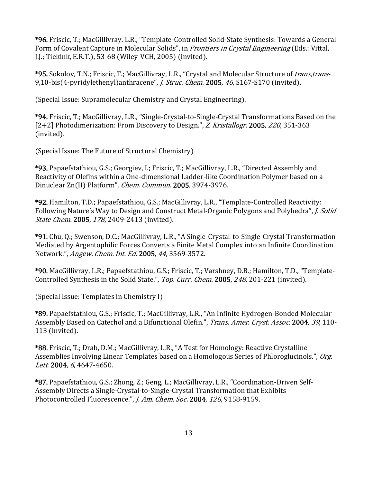\*96. Friscic, T.; MacGillivray. L.R., "Template-Controlled Solid-State Synthesis: Towards a General Form of Covalent Capture in Molecular Solids", in Frontiers in Crystal Engineering (Eds.: Vittal, J.J.; Tiekink, E.R.T.), 53-68 (Wiley-VCH, 2005) (invited).

\*95. Sokolov, T.N.; Friscic, T.; MacGillivray, L.R., "Crystal and Molecular Structure of *trans,trans*-9,10-bis(4-pyridylethenyl)anthracene", *J. Struc. Chem.* 2005, 46, S167-S170 (invited).

(Special Issue: Supramolecular Chemistry and Crystal Engineering).

\*94. Friscic, T.; MacGillivray, L.R., "Single-Crystal-to-Single-Crystal Transformations Based on the  $[2+2]$  Photodimerization: From Discovery to Design.", Z. Kristallogr. 2005, 220, 351-363 (invited).

(Special Issue: The Future of Structural Chemistry)

\*93. Papaefstathiou, G.S.; Georgiev, I.; Friscic, T.; MacGillivray, L.R., "Directed Assembly and Reactivity of Olefins within a One-dimensional Ladder-like Coordination Polymer based on a Dinuclear Zn(II) Platform", *Chem. Commun.* 2005, 3974-3976.

\*92. Hamilton, T.D.; Papaefstathiou, G.S.; MacGillivray, L.R., "Template-Controlled Reactivity: Following Nature's Way to Design and Construct Metal-Organic Polygons and Polyhedra", *J. Solid* State Chem. 2005, 178, 2409-2413 (invited).

\*91. Chu, Q.; Swenson, D.C.; MacGillivray, L.R., "A Single-Crystal-to-Single-Crystal Transformation Mediated by Argentophilic Forces Converts a Finite Metal Complex into an Infinite Coordination Network.", Angew. Chem. Int. Ed. 2005, 44, 3569-3572.

\*90. MacGillivray, L.R.; Papaefstathiou, G.S.; Friscic, T.; Varshney, D.B.; Hamilton, T.D., "Template-Controlled Synthesis in the Solid State.", Top. Curr. Chem. 2005, 248, 201-221 (invited).

(Special Issue: Templates in Chemistry I)

\*89. Papaefstathiou, G.S.; Friscic, T.; MacGillivray, L.R., "An Infinite Hydrogen-Bonded Molecular Assembly Based on Catechol and a Bifunctional Olefin.", *Trans. Amer. Cryst. Assoc.* 2004, 39, 110- $113$  (invited).

\*88. Friscic, T.; Drab, D.M.; MacGillivray, L.R., "A Test for Homology: Reactive Crystalline Assemblies Involving Linear Templates based on a Homologous Series of Phloroglucinols.", Org. Lett. 2004, 6, 4647-4650.

\*87. Papaefstathiou, G.S.; Zhong, Z.; Geng, L.; MacGillivray, L.R., "Coordination-Driven Self-Assembly Directs a Single-Crystal-to-Single-Crystal Transformation that Exhibits Photocontrolled Fluorescence.", J. Am. Chem. Soc. 2004, 126, 9158-9159.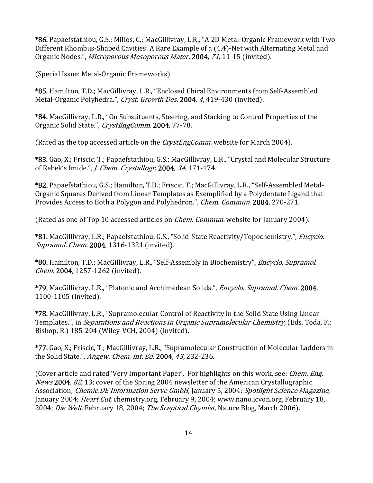\*86. Papaefstathiou, G.S.; Milios, C.; MacGillivray, L.R., "A 2D Metal-Organic Framework with Two Different Rhombus-Shaped Cavities: A Rare Example of a (4,4)-Net with Alternating Metal and Organic Nodes.", *Microporous Mesoporous Mater.* 2004, 71, 11-15 (invited).

(Special Issue: Metal-Organic Frameworks)

\*85. Hamilton, T.D.; MacGillivray, L.R., "Enclosed Chiral Environments from Self-Assembled Metal-Organic Polyhedra.", Cryst. Growth Des. 2004, 4, 419-430 (invited).

\*84. MacGillivray, L.R., "On Substituents, Steering, and Stacking to Control Properties of the Organic Solid State.", CrystEngComm. 2004, 77-78.

(Rated as the top accessed article on the *CrystEngComm*. website for March 2004).

\*83. Gao, X.; Friscic, T.; Papaefstathiou, G.S.; MacGillivray, L.R., "Crystal and Molecular Structure of Rebek's Imide.", *J. Chem. Crystallogr.* 2004, 34, 171-174.

\*82. Papaefstathiou, G.S.; Hamilton, T.D.; Friscic, T.; MacGillivray, L.R., "Self-Assembled Metal-Organic Squares Derived from Linear Templates as Exemplified by a Polydentate Ligand that Provides Access to Both a Polygon and Polyhedron.", *Chem. Commun.* 2004, 270-271.

(Rated as one of Top 10 accessed articles on *Chem. Commun.* website for January 2004).

\*81. MacGillivray, L.R.; Papaefstathiou, G.S., "Solid-State Reactivity/Topochemistry.", *Encyclo.* Supramol. Chem. 2004, 1316-1321 (invited).

\*80. Hamilton, T.D.; MacGillivray, L.R., "Self-Assembly in Biochemistry", *Encyclo. Supramol.* Chem. 2004, 1257-1262 (invited).

\*79. MacGillivray, L.R., "Platonic and Archimedean Solids.", *Encyclo. Supramol. Chem.* 2004, 1100-1105 (invited).

\*78. MacGillivray, L.R., "Supramolecular Control of Reactivity in the Solid State Using Linear Templates.", in *Separations and Reactions in Organic Supramolecular Chemistry*, (Eds. Toda, F.; Bishop, R.) 185-204 (Wiley-VCH, 2004) (invited).

\*77. Gao, X.; Friscic, T.; MacGillivray, L.R., "Supramolecular Construction of Molecular Ladders in the Solid State.", *Angew. Chem. Int. Ed.* 2004, 43, 232-236.

(Cover article and rated 'Very Important Paper'. For highlights on this work, see: *Chem. Eng. News* 2004,  $82$ , 13; cover of the Spring 2004 newsletter of the American Crystallographic Association; *Chemie.DE Information Serve GmbH*, January 5, 2004; *Spotlight Science Magazine*, January 2004; *Heart Cut*, chemistry.org, February 9, 2004; www.nano.icvon.org, February 18, 2004; Die Welt, February 18, 2004; The Sceptical Chymist, Nature Blog, March 2006).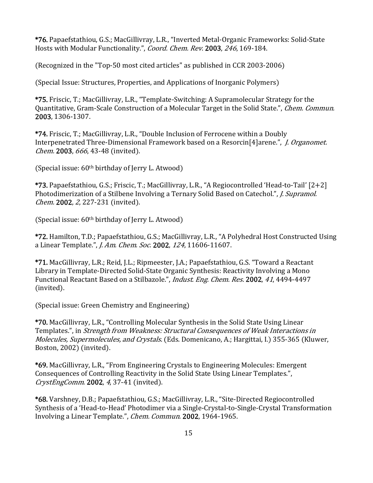\*76. Papaefstathiou, G.S.; MacGillivray, L.R., "Inverted Metal-Organic Frameworks: Solid-State Hosts with Modular Functionality.", Coord. Chem. Rev. 2003, 246, 169-184.

 $(Recognized in the "Top-50 most cited articles" as published in CCR 2003-2006)$ 

(Special Issue: Structures, Properties, and Applications of Inorganic Polymers)

\*75. Friscic, T.; MacGillivray, L.R., "Template-Switching: A Supramolecular Strategy for the Quantitative, Gram-Scale Construction of a Molecular Target in the Solid State.", *Chem. Commun.* 2003, 1306‐1307. 

\*74. Friscic, T.; MacGillivray, L.R., "Double Inclusion of Ferrocene within a Doubly Interpenetrated Three-Dimensional Framework based on a Resorcin<sup>[4]</sup>arene.", *J. Organomet.* Chem. 2003, 666, 43-48 (invited).

 $(Special issue: 60<sup>th</sup> birthday of Jerry L. Atwood)$ 

\*73. Papaefstathiou, G.S.; Friscic, T.; MacGillivray, L.R., "A Regiocontrolled 'Head-to-Tail'  $[2+2]$ Photodimerization of a Stilbene Involving a Ternary Solid Based on Catechol.", *J. Supramol.* Chem. 2002, 2, 227-231 (invited).

 $(Special issue: 60<sup>th</sup> birthday of Jerry L. Atwood)$ 

\*72. Hamilton, T.D.; Papaefstathiou, G.S.; MacGillivray, L.R., "A Polyhedral Host Constructed Using a Linear Template.", *J. Am. Chem. Soc.* 2002, 124, 11606-11607.

\*71. MacGillivray, L.R.; Reid, J.L.; Ripmeester, J.A.; Papaefstathiou, G.S. "Toward a Reactant Library in Template-Directed Solid-State Organic Synthesis: Reactivity Involving a Mono Functional Reactant Based on a Stilbazole.", *Indust. Eng. Chem. Res.* 2002, 41, 4494-4497 (invited).

(Special issue: Green Chemistry and Engineering)

\*70. MacGillivray, L.R., "Controlling Molecular Synthesis in the Solid State Using Linear Templates.", in Strength from Weakness: Structural Consequences of Weak Interactions in *Molecules, Supermolecules, and Crystals.* (Eds. Domenicano, A.; Hargittai, I.) 355-365 (Kluwer, Boston, 2002) (invited).

\*69. MacGillivray, L.R., "From Engineering Crystals to Engineering Molecules: Emergent Consequences of Controlling Reactivity in the Solid State Using Linear Templates.",  $CrystEngComm.$  2002, 4, 37-41 (invited).

\*68. Varshney, D.B.; Papaefstathiou, G.S.; MacGillivray, L.R., "Site-Directed Regiocontrolled Synthesis of a 'Head-to-Head' Photodimer via a Single-Crystal-to-Single-Crystal Transformation Involving a Linear Template.", *Chem. Commun.* 2002, 1964-1965.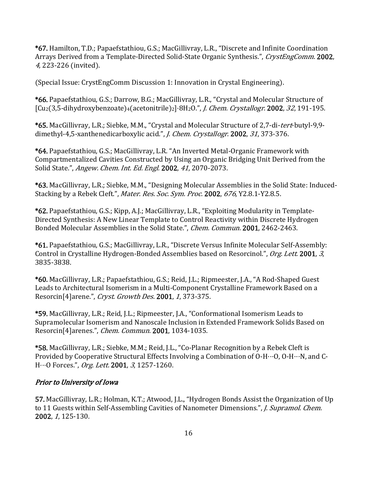\*67. Hamilton, T.D.; Papaefstathiou, G.S.; MacGillivray, L.R., "Discrete and Infinite Coordination Arrays Derived from a Template-Directed Solid-State Organic Synthesis.", CrystEngComm. 2002, 4, 223-226 (invited).

(Special Issue: CrystEngComm Discussion 1: Innovation in Crystal Engineering).

\*66. Papaefstathiou, G.S.; Darrow, B.G.; MacGillivray, L.R., "Crystal and Molecular Structure of  $\lceil Cu_2(3,5-dihydroxybenzoate)_4(a cetonitrile)_2\rceil·8H_2O."$ , *J. Chem. Crystallogr.* 2002, 32, 191-195.

\*65. MacGillivray, L.R.; Siebke, M.M., "Crystal and Molecular Structure of 2,7-di-tert-butyl-9,9dimethyl-4,5-xanthenedicarboxylic acid.", J. Chem. Crystallogr. 2002, 31, 373-376.

\*64. Papaefstathiou, G.S.; MacGillivray, L.R. "An Inverted Metal-Organic Framework with Compartmentalized Cavities Constructed by Using an Organic Bridging Unit Derived from the Solid State.", *Angew. Chem. Int. Ed. Engl.* 2002, 41, 2070-2073.

\*63. MacGillivray, L.R.; Siebke, M.M., "Designing Molecular Assemblies in the Solid State: Induced-Stacking by a Rebek Cleft.", Mater. Res. Soc. Sym. Proc. 2002, 676, Y2.8.1-Y2.8.5.

\*62. Papaefstathiou, G.S.; Kipp, A.J.; MacGillivray, L.R., "Exploiting Modularity in Template-Directed Synthesis: A New Linear Template to Control Reactivity within Discrete Hydrogen Bonded Molecular Assemblies in the Solid State.", *Chem. Commun.* 2001, 2462-2463.

\*61. Papaefstathiou, G.S.; MacGillivray, L.R., "Discrete Versus Infinite Molecular Self-Assembly: Control in Crystalline Hydrogen-Bonded Assemblies based on Resorcinol.", Org. Lett. 2001, 3, 3835‐3838. 

\*60. MacGillivray, L.R.; Papaefstathiou, G.S.; Reid, J.L.; Ripmeester, J.A., "A Rod-Shaped Guest Leads to Architectural Isomerism in a Multi-Component Crystalline Framework Based on a Resorcin<sup>[4]</sup>arene.", Cryst. Growth Des. 2001, 1, 373-375.

\*59. MacGillivray, L.R.; Reid, J.L.; Ripmeester, J.A., "Conformational Isomerism Leads to Supramolecular Isomerism and Nanoscale Inclusion in Extended Framework Solids Based on Resorcin<sup>[4]</sup>arenes.", *Chem. Commun.* 2001, 1034-1035.

\*58. MacGillivray, L.R.; Siebke, M.M.; Reid, J.L., "Co-Planar Recognition by a Rebek Cleft is Provided by Cooperative Structural Effects Involving a Combination of  $O-H\cdots O$ ,  $O-H\cdots N$ , and C-H…O Forces.", Org. Lett. 2001, 3, 1257-1260.

### Prior to University of Iowa

57. MacGillivray, L.R.; Holman, K.T.; Atwood, J.L., "Hydrogen Bonds Assist the Organization of Up to 11 Guests within Self-Assembling Cavities of Nanometer Dimensions.", *J. Supramol. Chem.* 2002, 1, 125‐130.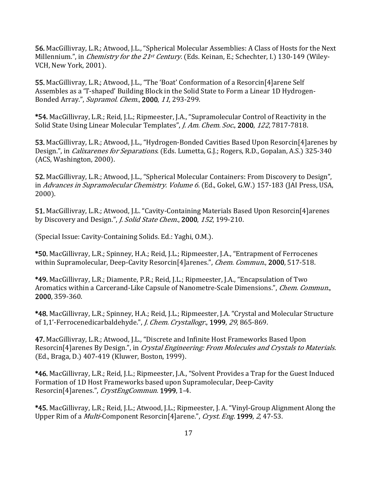56. MacGillivray, L.R.; Atwood, J.L., "Spherical Molecular Assemblies: A Class of Hosts for the Next Millennium.", in *Chemistry for the 21<sup>st</sup> Century*. (Eds. Keinan, E.; Schechter, I.) 130-149 (Wiley-VCH, New York, 2001).

55. MacGillivray, L.R.; Atwood, J.L., "The 'Boat' Conformation of a Resorcin<sup>[4]</sup>arene Self Assembles as a 'T-shaped' Building Block in the Solid State to Form a Linear 1D Hydrogen-Bonded Array.", Supramol. Chem., 2000, 11, 293-299.

\*54. MacGillivray, L.R.; Reid, J.L.; Ripmeester, J.A., "Supramolecular Control of Reactivity in the Solid State Using Linear Molecular Templates", *J. Am. Chem. Soc.*, 2000, 122, 7817-7818.

53. MacGillivray, L.R.; Atwood, J.L., "Hydrogen-Bonded Cavities Based Upon Resorcin<sup>[4]</sup>arenes by Design.", in *Calixarenes for Separations.* (Eds. Lumetta, G.J.; Rogers, R.D., Gopalan, A.S.) 325-340  $(ACS, Washington, 2000).$ 

52. MacGillivray, L.R.; Atwood, J.L., "Spherical Molecular Containers: From Discovery to Design", in Advances in Supramolecular Chemistry. Volume 6. (Ed., Gokel, G.W.) 157-183 (JAI Press, USA,  $2000$ ).

51. MacGillivray, L.R.; Atwood, J.L. "Cavity-Containing Materials Based Upon Resorcin<sup>[4]</sup>arenes by Discovery and Design.", *J. Solid State Chem.*, **2000**, 152, 199-210.

(Special Issue: Cavity-Containing Solids. Ed.: Yaghi, O.M.).

\*50. MacGillivray, L.R.; Spinney, H.A.; Reid, J.L.; Ripmeester, J.A., "Entrapment of Ferrocenes within Supramolecular, Deep-Cavity Resorcin<sup>[4]</sup>arenes.", *Chem. Commun.*, 2000, 517-518.

\*49. MacGillivray, L.R.; Diamente, P.R.; Reid, J.L.; Ripmeester, J.A., "Encapsulation of Two Aromatics within a Carcerand-Like Capsule of Nanometre-Scale Dimensions.", *Chem. Commun.*, 2000, 359‐360. 

\*48. MacGillivray, L.R.; Spinney, H.A.; Reid, J.L.; Ripmeester, J.A. "Crystal and Molecular Structure of 1,1'-Ferrocenedicarbaldehyde.", J. Chem. Crystallogr., 1999, 29, 865-869.

47. MacGillivray, L.R.; Atwood, J.L., "Discrete and Infinite Host Frameworks Based Upon Resorcin<sup>[4]</sup>arenes By Design.", in *Crystal Engineering: From Molecules and Crystals to Materials.* (Ed., Braga, D.) 407-419 (Kluwer, Boston, 1999).

\*46. MacGillivray, L.R.; Reid, J.L.; Ripmeester, J.A., "Solvent Provides a Trap for the Guest Induced Formation of 1D Host Frameworks based upon Supramolecular, Deep-Cavity Resorcin<sup>[4]</sup>arenes.", CrystEngCommun. 1999, 1-4.

\*45. MacGillivray, L.R.; Reid, J.L.; Atwood, J.L.; Ripmeester, J. A. "Vinyl-Group Alignment Along the Upper Rim of a *Multi*-Component Resorcin<sup>[4]</sup>arene.", *Cryst. Eng.* 1999, 2, 47-53.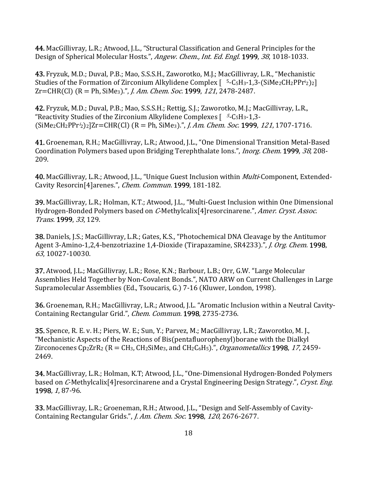44. MacGillivray, L.R.; Atwood, J.L., "Structural Classification and General Principles for the Design of Spherical Molecular Hosts.", Angew. Chem., Int. Ed. Engl. 1999, 38, 1018-1033.

43. Fryzuk, M.D.; Duval, P.B.; Mao, S.S.S.H., Zaworotko, M.J.; MacGillivray, L.R., "Mechanistic Studies of the Formation of Zirconium Alkylidene Complex  $\lceil 5 - C_5 H_3 - 1, 3 - (S_1 Me_2 CH_2 P Pr^i 2) \rceil$  $Zr = CHR(Cl)$   $(R = Ph, SiMe<sub>3</sub>)$ .", *I. Am. Chem. Soc.* 1999, 121, 2478-2487.

42. Fryzuk, M.D.; Duval, P.B.; Mao, S.S.S.H.; Rettig, S.J.; Zaworotko, M.J.; MacGillivray, L.R., "Reactivity Studies of the Zirconium Alkylidene Complexes  $\int 5-C_5H_3-1,3-(D_1+1)$  $(SiMe<sub>2</sub>CH<sub>2</sub>PPr<sup>i</sup><sub>2</sub>)<sub>2</sub>$ ]Zr=CHR(Cl) (R = Ph, SiMe<sub>3</sub>).", *J. Am. Chem. Soc.* 1999, 121, 1707-1716.

41. Groeneman, R.H.; MacGillivray, L.R.; Atwood, J.L., "One Dimensional Transition Metal-Based Coordination Polymers based upon Bridging Terephthalate Ions.", *Inorg. Chem.* 1999, 38, 208-209. 

40. MacGillivray, L.R.; Atwood, J.L., "Unique Guest Inclusion within *Multi*-Component, Extended-Cavity Resorcin<sup>[4]</sup>arenes.", *Chem. Commun.* 1999, 181-182.

39. MacGillivray, L.R.; Holman, K.T.; Atwood, J.L., "Multi-Guest Inclusion within One Dimensional Hydrogen-Bonded Polymers based on C-Methylcalix<sup>[4]</sup>resorcinarene.", *Amer. Cryst. Assoc.* Trans. 1999, 33, 129.

**38.** Daniels, J.S.; MacGillivray, L.R.; Gates, K.S., "Photochemical DNA Cleavage by the Antitumor Agent 3-Amino-1,2,4-benzotriazine 1,4-Dioxide (Tirapazamine, SR4233).", *J. Org. Chem.* 1998, 63, 10027-10030.

37. Atwood, J.L.; MacGillivray, L.R.; Rose, K.N.; Barbour, L.B.; Orr, G.W. "Large Molecular Assemblies Held Together by Non-Covalent Bonds.", NATO ARW on Current Challenges in Large Supramolecular Assemblies (Ed., Tsoucaris, G.) 7-16 (Kluwer, London, 1998).

36. Groeneman, R.H.; MacGillivray, L.R.; Atwood, J.L. "Aromatic Inclusion within a Neutral Cavity-Containing Rectangular Grid.", *Chem. Commun.* 1998, 2735-2736.

35. Spence, R. E. v. H.; Piers, W. E.; Sun, Y.; Parvez, M.; MacGillivray, L.R.; Zaworotko, M. J., "Mechanistic Aspects of the Reactions of Bis(pentafluorophenyl)borane with the Dialkyl Zirconocenes Cp2ZrR2 ( $R = CH_3$ , CH2SiMe<sub>3</sub>, and CH<sub>2</sub>C<sub>6</sub>H<sub>5</sub>).", *Organometallics* **1998**, 17, 2459-2469. 

34. MacGillivray, L.R.; Holman, K.T; Atwood, J.L., "One-Dimensional Hydrogen-Bonded Polymers based on C-Methylcalix<sup>[4]</sup>resorcinarene and a Crystal Engineering Design Strategy.", Cryst. Eng. 1998, 1, 87-96.

33. MacGillivray, L.R.; Groeneman, R.H.; Atwood, J.L., "Design and Self-Assembly of Cavity-Containing Rectangular Grids.", *J. Am. Chem. Soc.* 1998, 120, 2676-2677.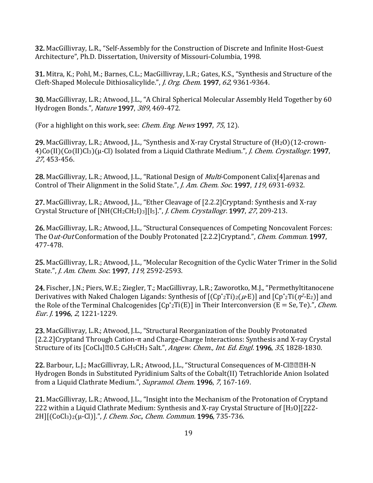32. MacGillivray, L.R., "Self-Assembly for the Construction of Discrete and Infinite Host-Guest Architecture", Ph.D. Dissertation, University of Missouri-Columbia, 1998.

**31.** Mitra, K.; Pohl, M.; Barnes, C.L.; MacGillivray, L.R.; Gates, K.S., "Synthesis and Structure of the Cleft-Shaped Molecule Dithiosalicylide.", *J. Org. Chem.* 1997, 62, 9361-9364.

30. MacGillivray, L.R.; Atwood, J.L., "A Chiral Spherical Molecular Assembly Held Together by 60 Hydrogen Bonds.", Nature 1997, 389, 469-472.

(For a highlight on this work, see: *Chem. Eng. News* 1997,  $75$ , 12).

29. MacGillivray, L.R.; Atwood, J.L., "Synthesis and X-ray Crystal Structure of  $(H_2O)(12$ -crown-4)Co(II)(Co(II)Cl<sub>3</sub>)(μ-Cl) Isolated from a Liquid Clathrate Medium.", *J. Chem. Crystallogr.* 1997, <sup>27</sup>, 453‐456. 

28. MacGillivray, L.R.; Atwood, J.L., "Rational Design of *Multi*-Component Calix<sup>[4]</sup>arenas and Control of Their Alignment in the Solid State.", *J. Am. Chem. Soc.* 1997, 119, 6931-6932.

27. MacGillivray, L.R.; Atwood, J.L., "Ether Cleavage of [2.2.2]Cryptand: Synthesis and X-ray Crystal Structure of [NH(CH<sub>2</sub>CH<sub>2</sub>I)<sub>3</sub>][I<sub>5</sub>].", *J. Chem. Crystallogr.* 1997, 27, 209-213.

26. MacGillivray, L.R.; Atwood, J.L., "Structural Consequences of Competing Noncovalent Forces: The Out-Out Conformation of the Doubly Protonated [2.2.2]Cryptand.", *Chem. Commun.* 1997, 477‐478. 

25. MacGillivray, L.R.; Atwood, J.L., "Molecular Recognition of the Cyclic Water Trimer in the Solid State.", *J. Am. Chem. Soc.* 1997, 119, 2592-2593.

24. Fischer, J.N.; Piers, W.E.; Ziegler, T.; MacGillivray, L.R.; Zaworotko, M.J., "Permethyltitanocene Derivatives with Naked Chalogen Ligands: Synthesis of  $[(Cp^*ZTi)(\mu-E)]$  and  $[Cp^*ZTi(\eta^2-E_2)]$  and the Role of the Terminal Chalcogenides  $[Cp^*ZTi(E)]$  in Their Interconversion (E = Se, Te).", *Chem.* Eur. J. 1996, 2, 1221-1229.

23. MacGillivray, L.R.; Atwood, J.L., "Structural Reorganization of the Doubly Protonated  $[2.2.2]$ Cryptand Through Cation- $\pi$  and Charge-Charge Interactions: Synthesis and X-ray Crystal Structure of its [CoCl4]**[20.5** C<sub>6</sub>H<sub>5</sub>CH<sub>3</sub> Salt.", *Angew. Chem., Int. Ed. Engl.* **1996**, 35, 1828-1830.

22. Barbour, L.J.; MacGillivray, L.R.; Atwood, J.L., "Structural Consequences of M-Cl@@@H-N Hydrogen Bonds in Substituted Pyridinium Salts of the Cobalt(II) Tetrachloride Anion Isolated from a Liquid Clathrate Medium.", Supramol. Chem. 1996, 7, 167-169.

21. MacGillivray, L.R.; Atwood, J.L., "Insight into the Mechanism of the Protonation of Cryptand 222 within a Liquid Clathrate Medium: Synthesis and X-ray Crystal Structure of  $[H<sub>3</sub>O][222$ - $2H$ ][(CoCl<sub>3</sub>)<sub>2</sub>( $\mu$ -Cl)].", *J. Chem. Soc., Chem. Commun.* **1996**, 735-736.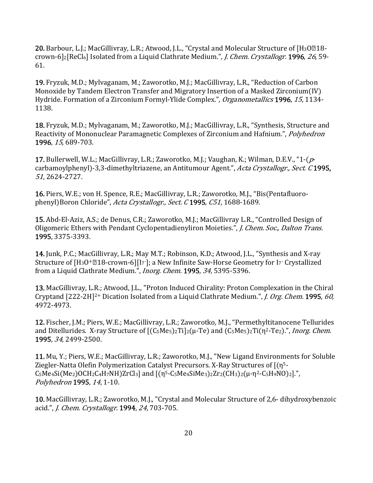20. Barbour, L.J.; MacGillivray, L.R.; Atwood, J.L., "Crystal and Molecular Structure of [H<sub>3</sub>O<sup>[18</sup>crown-6]2[ReCl<sub>6</sub>] Isolated from a Liquid Clathrate Medium.", *J. Chem. Crystallogr.* 1996, 26, 59-61. 

19. Fryzuk, M.D.; Mylvaganam, M.; Zaworotko, M.J.; MacGillivray, L.R., "Reduction of Carbon Monoxide by Tandem Electron Transfer and Migratory Insertion of a Masked Zirconium(IV) Hydride. Formation of a Zirconium Formyl-Ylide Complex.", Organometallics 1996, 15, 1134-1138. 

18. Fryzuk, M.D.; Mylvaganam, M.; Zaworotko, M.J.; MacGillivray, L.R., "Synthesis, Structure and Reactivity of Mononuclear Paramagnetic Complexes of Zirconium and Hafnium.", *Polyhedron* 1996, 15, 689-703.

17. Bullerwell, W.L.; MacGillivray, L.R.; Zaworotko, M.J.; Vaughan, K.; Wilman, D.E.V., "1- $(p$ carbamoylphenyl)-3,3-dimethyltriazene, an Antitumour Agent.", Acta Crystallogr., Sect. C 1995, 51, 2624‐2727. 

16. Piers, W.E.; von H. Spence, R.E.; MacGillivray, L.R.; Zaworotko, M.J., "Bis(Pentafluorophenyl)Boron Chloride", Acta Crystallogr., Sect. C 1995, C51, 1688-1689.

**15.** Abd-El-Aziz, A.S.; de Denus, C.R.; Zaworotko, M.J.; MacGillivray L.R., "Controlled Design of Oligomeric Ethers with Pendant Cyclopentadienyliron Moieties.", *J. Chem. Soc., Dalton Trans.* 1995, 3375‐3393. 

14. Junk, P.C.; MacGillivray, L.R.; May M.T.; Robinson, K.D.; Atwood, J.L., "Synthesis and X-ray Structure of  $[H_3O^+\mathbb{Z}18$ -crown-6] $[I_7]$ ; a New Infinite Saw-Horse Geometry for I7 Crystallized from a Liquid Clathrate Medium.", *Inorg. Chem.* 1995, 34, 5395-5396.

13. MacGillivray, L.R.; Atwood, J.L., "Proton Induced Chirality: Proton Complexation in the Chiral Cryptand  $[222-2H]^{2+}$  Dication Isolated from a Liquid Clathrate Medium.", *J. Org. Chem.* 1995, 60, 4972‐4973. 

12. Fischer, J.M.; Piers, W.E.; MacGillivray, L.R.; Zaworotko, M.J., "Permethyltitanocene Tellurides and Ditellurides. X-ray Structure of  $[(C_5Me_5)_2T_1]_2(\mu-Te)$  and  $(C_5Me_5)_2T_1(\eta^2-Te_2)$ .", *Inorg. Chem.* 1995, 34, 2499-2500.

11. Mu, Y.; Piers, W.E.; MacGillivray, L.R.; Zaworotko, M.J., "New Ligand Environments for Soluble Ziegler-Natta Olefin Polymerization Catalyst Precursors. X-Ray Structures of  $[(\eta^{5} C_5Me_4Si(Me_2)OCH_2C_4H_7NH)ZrCl_3$ ] and  $[(\eta^5-C_5Me_4SiMe_3)2Zr_2(CH_3)2(\mu-\eta^2-C_5H_9NO)2]$ .", Polyhedron 1995, 14, 1-10.

10. MacGillivray, L.R.; Zaworotko, M.J., "Crystal and Molecular Structure of 2,6- dihydroxybenzoic acid.", *J. Chem. Crystallogr.* 1994, 24, 703-705.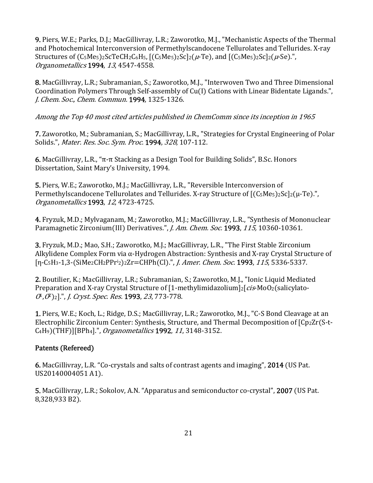**9.** Piers, W.E.; Parks, D.J.; MacGillivray, L.R.; Zaworotko, M.J., "Mechanistic Aspects of the Thermal and Photochemical Interconversion of Permethylscandocene Tellurolates and Tellurides. X-ray Structures of  $(C_5Me_5)$ <sub>2</sub>ScTeCH<sub>2</sub>C<sub>6</sub>H<sub>5</sub>,  $[(C_5Me_5)$ <sub>2</sub>Sc]<sub>2</sub>( $\mu$ -Te), and  $[(C_5Me_5)$ <sub>2</sub>Sc]<sub>2</sub>( $\mu$ -Se).<sup>"</sup>, Organometallics 1994, 13, 4547-4558.

8. MacGillivray, L.R.; Subramanian, S.; Zaworotko, M.J., "Interwoven Two and Three Dimensional Coordination Polymers Through Self-assembly of Cu(I) Cations with Linear Bidentate Ligands.", J. Chem. Soc., Chem. Commun. 1994, 1325-1326.

Among the Top 40 most cited articles published in ChemComm since its inception in 1965

7. Zaworotko, M.; Subramanian, S.; MacGillivray, L.R., "Strategies for Crystal Engineering of Polar Solids.", Mater. Res. Soc. Sym. Proc. 1994, 328, 107-112.

6. MacGillivray, L.R., "π-π Stacking as a Design Tool for Building Solids", B.Sc. Honors Dissertation, Saint Mary's University, 1994.

**5.** Piers, W.E.; Zaworotko, M.J.; MacGillivray, L.R., "Reversible Interconversion of Permethylscandocene Tellurolates and Tellurides. X-ray Structure of  $[(C_5Me_5)_2Sc]_2(\mu-Te)$ .", Organometallics 1993, 12, 4723-4725.

4. Fryzuk, M.D.; Mylvaganam, M.; Zaworotko, M.J.; MacGillivray, L.R., "Synthesis of Mononuclear Paramagnetic Zirconium(III) Derivatives.", *J. Am. Chem. Soc.* 1993, 115, 10360-10361.

3. Fryzuk, M.D.; Mao, S.H.; Zaworotko, M.J.; MacGillivray, L.R., "The First Stable Zirconium Alkylidene Complex Form via  $\alpha$ -Hydrogen Abstraction: Synthesis and X-ray Crystal Structure of [η-C<sub>5</sub>H<sub>3</sub>-1,3-(SiMe<sub>2</sub>CH<sub>2</sub>PPr<sup>i</sup><sub>2</sub>)<sub>2</sub>Zr=CHPh(Cl).", *J. Amer. Chem. Soc.* **1993**, *115*, 5336-5337.

2. Boutilier, K.; MacGillivray, L.R.; Subramanian, S.; Zaworotko, M.J., "Ionic Liquid Mediated Preparation and X-ray Crystal Structure of  $[1$ -methylimidazolium]2 $[cis-MoO<sub>2</sub>(salicylato (0<sup>1</sup>,0<sup>2</sup>)<sub>2</sub>$ ].", *J. Cryst. Spec. Res.* **1993**, 23, 773-778.

1. Piers, W.E.; Koch, L.; Ridge, D.S.; MacGillivray, L.R.; Zaworotko, M.J., "C-S Bond Cleavage at an Electrophilic Zirconium Center: Synthesis, Structure, and Thermal Decomposition of [Cp2Zr(S-t-C<sub>4</sub>H<sub>9</sub>)(THF)][BPh<sub>4</sub>].", *Organometallics* 1992, 11, 3148-3152.

# Patents (Refereed)

6. MacGillivray, L.R. "Co-crystals and salts of contrast agents and imaging", 2014 (US Pat. US20140004051 A1).

5. MacGillivray, L.R.; Sokolov, A.N. "Apparatus and semiconductor co-crystal", 2007 (US Pat. 8,328,933 B2).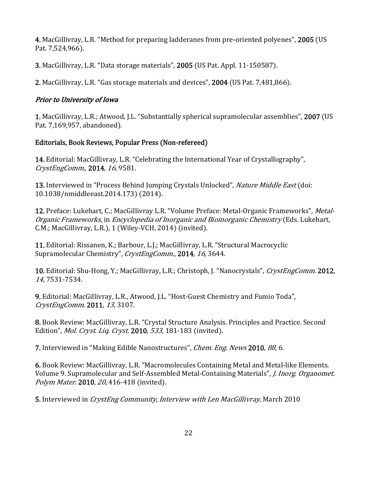4. MacGillivray, L.R. "Method for preparing ladderanes from pre-oriented polyenes", 2005 (US Pat. 7,524,966).

3. MacGillivray, L.R. "Data storage materials", 2005 (US Pat. Appl. 11-150587).

**2.** MacGillivray, L.R. "Gas storage materials and devices", **2004** (US Pat. 7,481,866).

### Prior to University of Iowa

1. MacGillivray, L.R.; Atwood, J.L. "Substantially spherical supramolecular assemblies", 2007 (US Pat. 7,169,957, abandoned).

### Editorials, Book Reviews, Popular Press (Non-refereed)

**14.** Editorial: MacGillivray, L.R. "Celebrating the International Year of Crystallography", CrystEngComm., 2014, 16, 9581.

13. Interviewed in "Process Behind Jumping Crystals Unlocked", Nature Middle East (doi: 10.1038/nmiddleeast.2014.173) (2014).

12. Preface: Lukehart, C.; MacGillivray L.R. "Volume Preface: Metal-Organic Frameworks", Metal-Organic Frameworks, in Encyclopedia of Inorganic and Bioinorganic Chemistry (Eds. Lukehart, C.M.; MacGillivray, L.R.), 1 (Wiley-VCH, 2014) (invited).

11. Editorial: Rissanen, K.; Barbour, L.J.; MacGillivray, L.R. "Structural Macrocyclic Supramolecular Chemistry", CrystEngComm., 2014, 16, 3644.

10. Editorial: Shu-Hong, Y.; MacGillivray, L.R.; Christoph, J. "Nanocrystals", CrystEngComm. 2012, <sup>14</sup>, 7531‐7534. 

9. Editorial: MacGillivray, L.R., Atwood, J.L. "Host-Guest Chemistry and Fumio Toda", CrystEngComm. 2011, 13, 3107.

8. Book Review: MacGillivray, L.R. "Crystal Structure Analysis. Principles and Practice. Second Edition", Mol. Cryst. Liq. Cryst. 2010, 533, 181-183 (invited).

7. Interviewed in "Making Edible Nanostructures", *Chem. Eng. News* 2010, 88, 6.

6. Book Review: MacGillivray, L.R. "Macromolecules Containing Metal and Metal-like Elements. Volume 9. Supramolecular and Self-Assembled Metal-Containing Materials", *J. Inorg. Organomet.* Polym Mater. 2010, 20, 416-418 (invited).

5. Interviewed in CrystEng Community, Interview with Len MacGillivray, March 2010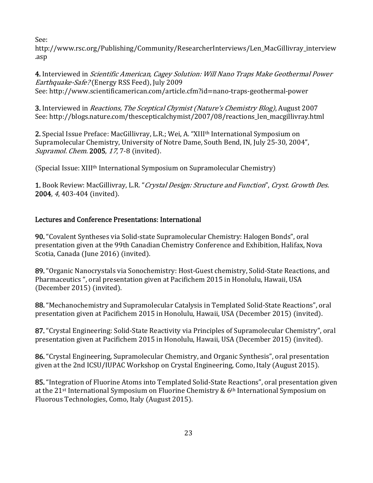See: 

http://www.rsc.org/Publishing/Community/ResearcherInterviews/Len\_MacGillivray\_interview .asp 

4. Interviewed in *Scientific American, Cagey Solution: Will Nano Traps Make Geothermal Power Earthquake-Safe?* (Energy RSS Feed), July 2009 See: http://www.scientificamerican.com/article.cfm?id=nano-traps-geothermal-power

3. Interviewed in *Reactions, The Sceptical Chymist (Nature's Chemistry Blog)*, August 2007 See: http://blogs.nature.com/thescepticalchymist/2007/08/reactions\_len\_macgillivray.html

2. Special Issue Preface: MacGillivray, L.R.; Wei, A. "XIII<sup>th</sup> International Symposium on Supramolecular Chemistry, University of Notre Dame, South Bend, IN, July 25-30, 2004", Supramol. Chem. 2005, 17, 7-8 (invited).

(Special Issue: XIII<sup>th</sup> International Symposium on Supramolecular Chemistry)

1. Book Review: MacGillivray, L.R. "Crystal Design: Structure and Function", Cryst. Growth Des. **2004**, 4, 403-404 (invited).

# Lectures and Conference Presentations: International

**90.** "Covalent Syntheses via Solid-state Supramolecular Chemistry: Halogen Bonds", oral presentation given at the 99th Canadian Chemistry Conference and Exhibition, Halifax, Nova Scotia, Canada (June 2016) (invited).

89. "Organic Nanocrystals via Sonochemistry: Host-Guest chemistry, Solid-State Reactions, and Pharmaceutics ", oral presentation given at Pacifichem 2015 in Honolulu, Hawaii, USA  $(December 2015)$  (invited).

88. "Mechanochemistry and Supramolecular Catalysis in Templated Solid-State Reactions", oral presentation given at Pacifichem 2015 in Honolulu, Hawaii, USA (December 2015) (invited).

87. "Crystal Engineering: Solid-State Reactivity via Principles of Supramolecular Chemistry", oral presentation given at Pacifichem 2015 in Honolulu, Hawaii, USA (December 2015) (invited).

86. "Crystal Engineering, Supramolecular Chemistry, and Organic Synthesis", oral presentation given at the 2nd ICSU/IUPAC Workshop on Crystal Engineering, Como, Italy (August 2015).

85. "Integration of Fluorine Atoms into Templated Solid-State Reactions", oral presentation given at the  $21^{st}$  International Symposium on Fluorine Chemistry &  $6^{th}$  International Symposium on Fluorous Technologies, Como, Italy (August 2015).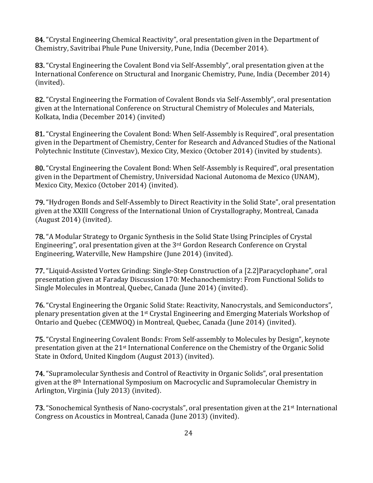84. "Crystal Engineering Chemical Reactivity", oral presentation given in the Department of Chemistry, Savitribai Phule Pune University, Pune, India (December 2014).

83. "Crystal Engineering the Covalent Bond via Self-Assembly", oral presentation given at the International Conference on Structural and Inorganic Chemistry, Pune, India (December 2014) (invited).

82. "Crystal Engineering the Formation of Covalent Bonds via Self-Assembly", oral presentation given at the International Conference on Structural Chemistry of Molecules and Materials, Kolkata, India (December 2014) (invited)

81. "Crystal Engineering the Covalent Bond: When Self-Assembly is Required", oral presentation given in the Department of Chemistry, Center for Research and Advanced Studies of the National Polytechnic Institute (Cinvestav), Mexico City, Mexico (October 2014) (invited by students).

80. "Crystal Engineering the Covalent Bond: When Self-Assembly is Required", oral presentation given in the Department of Chemistry, Universidad Nacional Autonoma de Mexico (UNAM), Mexico City, Mexico (October 2014) (invited).

**79.** "Hydrogen Bonds and Self-Assembly to Direct Reactivity in the Solid State", oral presentation given at the XXIII Congress of the International Union of Crystallography, Montreal, Canada  $(August 2014)$  (invited).

78. "A Modular Strategy to Organic Synthesis in the Solid State Using Principles of Crystal Engineering", oral presentation given at the  $3<sup>rd</sup>$  Gordon Research Conference on Crystal Engineering, Waterville, New Hampshire (June 2014) (invited).

77. "Liquid-Assisted Vortex Grinding: Single-Step Construction of a [2.2] Paracyclophane", oral presentation given at Faraday Discussion 170: Mechanochemistry: From Functional Solids to Single Molecules in Montreal, Quebec, Canada (June 2014) (invited).

76. "Crystal Engineering the Organic Solid State: Reactivity, Nanocrystals, and Semiconductors", plenary presentation given at the  $1<sup>st</sup>$  Crystal Engineering and Emerging Materials Workshop of Ontario and Quebec (CEMWOQ) in Montreal, Quebec, Canada (June 2014) (invited).

**75.** "Crystal Engineering Covalent Bonds: From Self-assembly to Molecules by Design", keynote presentation given at the  $21<sup>st</sup>$  International Conference on the Chemistry of the Organic Solid State in Oxford, United Kingdom (August 2013) (invited).

**74.** "Supramolecular Synthesis and Control of Reactivity in Organic Solids", oral presentation given at the 8<sup>th</sup> International Symposium on Macrocyclic and Supramolecular Chemistry in Arlington, Virginia (July 2013) (invited).

73. "Sonochemical Synthesis of Nano-cocrystals", oral presentation given at the 21<sup>st</sup> International Congress on Acoustics in Montreal, Canada (June 2013) (invited).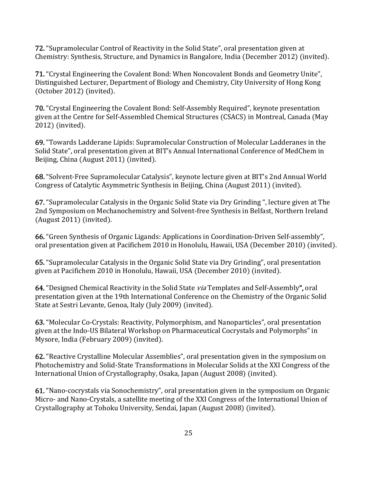**72.** "Supramolecular Control of Reactivity in the Solid State", oral presentation given at Chemistry: Synthesis, Structure, and Dynamics in Bangalore, India (December 2012) (invited).

71. "Crystal Engineering the Covalent Bond: When Noncovalent Bonds and Geometry Unite", Distinguished Lecturer, Department of Biology and Chemistry, City University of Hong Kong  $(October 2012) (invited).$ 

**70.** "Crystal Engineering the Covalent Bond: Self-Assembly Required", keynote presentation given at the Centre for Self-Assembled Chemical Structures (CSACS) in Montreal, Canada (May 2012) (invited).

69. "Towards Ladderane Lipids: Supramolecular Construction of Molecular Ladderanes in the Solid State", oral presentation given at BIT's Annual International Conference of MedChem in Beijing, China (August 2011) (invited).

68. "Solvent-Free Supramolecular Catalysis", keynote lecture given at BIT's 2nd Annual World Congress of Catalytic Asymmetric Synthesis in Beijing, China (August 2011) (invited).

67. "Supramolecular Catalysis in the Organic Solid State via Dry Grinding ", lecture given at The 2nd Symposium on Mechanochemistry and Solvent-free Synthesis in Belfast, Northern Ireland  $(August 2011)$  (invited).

66. "Green Synthesis of Organic Ligands: Applications in Coordination-Driven Self-assembly", oral presentation given at Pacifichem 2010 in Honolulu, Hawaii, USA (December 2010) (invited).

**65.** "Supramolecular Catalysis in the Organic Solid State via Dry Grinding", oral presentation given at Pacifichem 2010 in Honolulu, Hawaii, USA (December 2010) (invited).

64. "Designed Chemical Reactivity in the Solid State via Templates and Self-Assembly", oral presentation given at the 19th International Conference on the Chemistry of the Organic Solid State at Sestri Levante, Genoa, Italy (July 2009) (invited).

63. "Molecular Co-Crystals: Reactivity, Polymorphism, and Nanoparticles", oral presentation given at the Indo-US Bilateral Workshop on Pharmaceutical Cocrystals and Polymorphs" in Mysore, India (February 2009) (invited).

62. "Reactive Crystalline Molecular Assemblies", oral presentation given in the symposium on Photochemistry and Solid-State Transformations in Molecular Solids at the XXI Congress of the International Union of Crystallography, Osaka, Japan (August 2008) (invited).

61. "Nano-cocrystals via Sonochemistry", oral presentation given in the symposium on Organic Micro- and Nano-Crystals, a satellite meeting of the XXI Congress of the International Union of Crystallography at Tohoku University, Sendai, Japan (August 2008) (invited).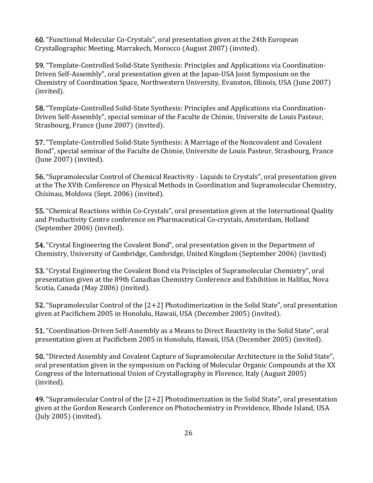60. "Functional Molecular Co-Crystals", oral presentation given at the 24th European Crystallographic Meeting, Marrakech, Morocco (August 2007) (invited).

59. "Template-Controlled Solid-State Synthesis: Principles and Applications via Coordination-Driven Self-Assembly", oral presentation given at the Japan-USA Joint Symposium on the Chemistry of Coordination Space, Northwestern University, Evanston, Illinois, USA (June 2007) (invited).

**58.** "Template-Controlled Solid-State Synthesis: Principles and Applications via Coordination-Driven Self-Assembly", special seminar of the Faculte de Chimie, Universite de Louis Pasteur, Strasbourg, France (June 2007) (invited).

57. "Template-Controlled Solid-State Synthesis: A Marriage of the Noncovalent and Covalent Bond", special seminar of the Faculte de Chimie, Universite de Louis Pasteur, Strasbourg, France  $($ June  $2007)$   $($ invited $).$ 

**56.** "Supramolecular Control of Chemical Reactivity - Liquids to Crystals", oral presentation given at the The XVth Conference on Physical Methods in Coordination and Supramolecular Chemistry, Chisinau, Moldova (Sept. 2006) (invited).

**55.** "Chemical Reactions within Co-Crystals", oral presentation given at the International Quality and Productivity Centre conference on Pharmaceutical Co-crystals, Amsterdam, Holland (September 2006) (invited).

**54.** "Crystal Engineering the Covalent Bond", oral presentation given in the Department of Chemistry, University of Cambridge, Cambridge, United Kingdom (September 2006) (invited)

**53.** "Crystal Engineering the Covalent Bond via Principles of Supramolecular Chemistry", oral presentation given at the 89th Canadian Chemistry Conference and Exhibition in Halifax, Nova Scotia, Canada (May 2006) (invited).

**52.** "Supramolecular Control of the  $[2+2]$  Photodimerization in the Solid State", oral presentation given at Pacifichem 2005 in Honolulu, Hawaii, USA (December 2005) (invited).

**51.** "Coordination-Driven Self-Assembly as a Means to Direct Reactivity in the Solid State", oral presentation given at Pacifichem 2005 in Honolulu, Hawaii, USA (December 2005) (invited).

50. "Directed Assembly and Covalent Capture of Supramolecular Architecture in the Solid State". oral presentation given in the symposium on Packing of Molecular Organic Compounds at the XX Congress of the International Union of Crystallography in Florence, Italy (August 2005) (invited).

49. "Supramolecular Control of the  $[2+2]$  Photodimerization in the Solid State", oral presentation given at the Gordon Research Conference on Photochemistry in Providence, Rhode Island, USA  $($ July 2005 $)$  (invited).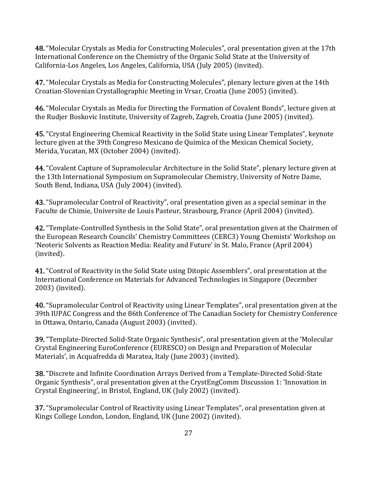48. "Molecular Crystals as Media for Constructing Molecules", oral presentation given at the 17th International Conference on the Chemistry of the Organic Solid State at the University of California-Los Angeles, Los Angeles, California, USA (July 2005) (invited).

47. "Molecular Crystals as Media for Constructing Molecules", plenary lecture given at the 14th Croatian-Slovenian Crystallographic Meeting in Vrsar, Croatia (June 2005) (invited).

**46.** "Molecular Crystals as Media for Directing the Formation of Covalent Bonds", lecture given at the Rudjer Boskovic Institute, University of Zagreb, Zagreb, Croatia (June 2005) (invited).

45. "Crystal Engineering Chemical Reactivity in the Solid State using Linear Templates", keynote lecture given at the 39th Congreso Mexicano de Quimica of the Mexican Chemical Society, Merida, Yucatan, MX (October 2004) (invited).

44. "Covalent Capture of Supramolecular Architecture in the Solid State", plenary lecture given at the 13th International Symposium on Supramolecular Chemistry, University of Notre Dame, South Bend, Indiana, USA (July 2004) (invited).

43. "Supramolecular Control of Reactivity", oral presentation given as a special seminar in the Faculte de Chimie, Universite de Louis Pasteur, Strasbourg, France (April 2004) (invited).

42. "Template-Controlled Synthesis in the Solid State", oral presentation given at the Chairmen of the European Research Councils' Chemistry Committees (CERC3) Young Chemists' Workshop on 'Neoteric Solvents as Reaction Media: Reality and Future' in St. Malo, France (April 2004) (invited).

41. "Control of Reactivity in the Solid State using Ditopic Assemblers", oral presentation at the International Conference on Materials for Advanced Technologies in Singapore (December 2003) (invited).

40. "Supramolecular Control of Reactivity using Linear Templates", oral presentation given at the 39th IUPAC Congress and the 86th Conference of The Canadian Society for Chemistry Conference in Ottawa, Ontario, Canada (August 2003) (invited).

39. "Template-Directed Solid-State Organic Synthesis", oral presentation given at the 'Molecular Crystal Engineering EuroConference (EURESCO) on Design and Preparation of Molecular Materials', in Acquafredda di Maratea, Italy (June 2003) (invited).

**38.** "Discrete and Infinite Coordination Arrays Derived from a Template-Directed Solid-State Organic Synthesis", oral presentation given at the CrystEngComm Discussion 1: 'Innovation in Crystal Engineering', in Bristol, England, UK (July 2002) (invited).

**37.** "Supramolecular Control of Reactivity using Linear Templates", oral presentation given at Kings College London, London, England, UK (June 2002) (invited).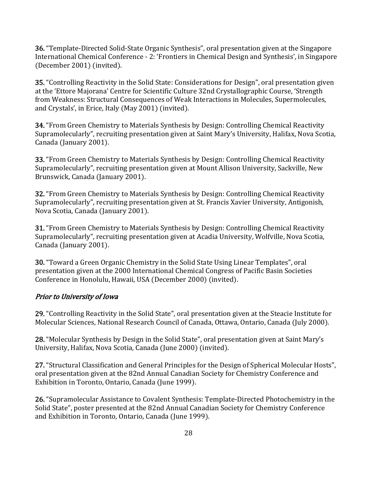**36.** "Template-Directed Solid-State Organic Synthesis", oral presentation given at the Singapore International Chemical Conference - 2: 'Frontiers in Chemical Design and Synthesis', in Singapore  $(December 2001)$  (invited).

**35.** "Controlling Reactivity in the Solid State: Considerations for Design", oral presentation given at the 'Ettore Majorana' Centre for Scientific Culture 32nd Crystallographic Course, 'Strength from Weakness: Structural Consequences of Weak Interactions in Molecules, Supermolecules, and Crystals', in Erice, Italy (May 2001) (invited).

**34.** "From Green Chemistry to Materials Synthesis by Design: Controlling Chemical Reactivity Supramolecularly", recruiting presentation given at Saint Mary's University, Halifax, Nova Scotia, Canada (January 2001).

**33.** "From Green Chemistry to Materials Synthesis by Design: Controlling Chemical Reactivity Supramolecularly", recruiting presentation given at Mount Allison University, Sackville, New Brunswick, Canada (January 2001).

**32.** "From Green Chemistry to Materials Synthesis by Design: Controlling Chemical Reactivity Supramolecularly", recruiting presentation given at St. Francis Xavier University, Antigonish, Nova Scotia, Canada (January 2001).

**31.** "From Green Chemistry to Materials Synthesis by Design: Controlling Chemical Reactivity Supramolecularly", recruiting presentation given at Acadia University, Wolfville, Nova Scotia, Canada (January 2001).

**30.** "Toward a Green Organic Chemistry in the Solid State Using Linear Templates", oral presentation given at the 2000 International Chemical Congress of Pacific Basin Societies Conference in Honolulu, Hawaii, USA (December 2000) (invited).

### Prior to University of Iowa

29. "Controlling Reactivity in the Solid State", oral presentation given at the Steacie Institute for Molecular Sciences, National Research Council of Canada, Ottawa, Ontario, Canada (July 2000).

28. "Molecular Synthesis by Design in the Solid State", oral presentation given at Saint Mary's University, Halifax, Nova Scotia, Canada (June 2000) (invited).

27. "Structural Classification and General Principles for the Design of Spherical Molecular Hosts", oral presentation given at the 82nd Annual Canadian Society for Chemistry Conference and Exhibition in Toronto, Ontario, Canada (June 1999).

26. "Supramolecular Assistance to Covalent Synthesis: Template-Directed Photochemistry in the Solid State", poster presented at the 82nd Annual Canadian Society for Chemistry Conference and Exhibition in Toronto, Ontario, Canada (June 1999).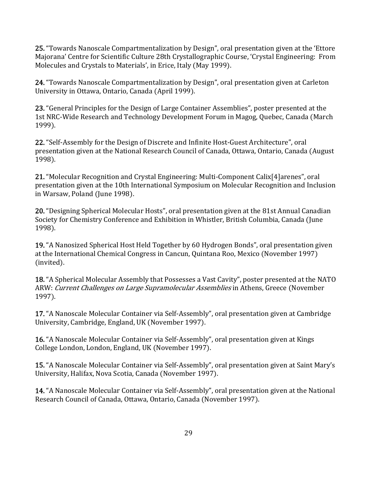25. "Towards Nanoscale Compartmentalization by Design", oral presentation given at the 'Ettore Majorana' Centre for Scientific Culture 28th Crystallographic Course, 'Crystal Engineering: From Molecules and Crystals to Materials', in Erice, Italy (May 1999).

**24.** "Towards Nanoscale Compartmentalization by Design", oral presentation given at Carleton University in Ottawa, Ontario, Canada (April 1999).

23. "General Principles for the Design of Large Container Assemblies", poster presented at the 1st NRC-Wide Research and Technology Development Forum in Magog, Quebec, Canada (March 1999).

22. "Self-Assembly for the Design of Discrete and Infinite Host-Guest Architecture", oral presentation given at the National Research Council of Canada, Ottawa, Ontario, Canada (August 1998).

**21.** "Molecular Recognition and Crystal Engineering: Multi-Component Calix<sup>[4]</sup>arenes", oral presentation given at the 10th International Symposium on Molecular Recognition and Inclusion in Warsaw, Poland (June 1998).

20. "Designing Spherical Molecular Hosts", oral presentation given at the 81st Annual Canadian Society for Chemistry Conference and Exhibition in Whistler, British Columbia, Canada (June 1998).

19. "A Nanosized Spherical Host Held Together by 60 Hydrogen Bonds", oral presentation given at the International Chemical Congress in Cancun, Quintana Roo, Mexico (November 1997) (invited).

18. "A Spherical Molecular Assembly that Possesses a Vast Cavity", poster presented at the NATO ARW: Current Challenges on Large Supramolecular Assemblies in Athens, Greece (November 1997).

17. "A Nanoscale Molecular Container via Self-Assembly", oral presentation given at Cambridge University, Cambridge, England, UK (November 1997).

16. "A Nanoscale Molecular Container via Self-Assembly", oral presentation given at Kings College London, London, England, UK (November 1997).

15. "A Nanoscale Molecular Container via Self-Assembly", oral presentation given at Saint Mary's University, Halifax, Nova Scotia, Canada (November 1997).

14. "A Nanoscale Molecular Container via Self-Assembly", oral presentation given at the National Research Council of Canada, Ottawa, Ontario, Canada (November 1997).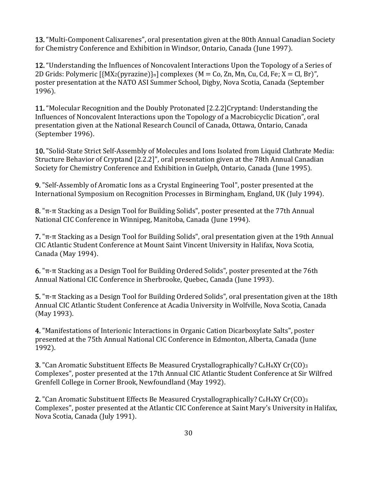13. "Multi-Component Calixarenes", oral presentation given at the 80th Annual Canadian Society for Chemistry Conference and Exhibition in Windsor, Ontario, Canada (June 1997).

12. "Understanding the Influences of Noncovalent Interactions Upon the Topology of a Series of 2D Grids: Polymeric  $\left[\{MX_2(pvrazine)\}_n\right]$  complexes  $(M = Co, Zn, Mn, Cu, Cd, Fe; X = Cl, Br)$ ", poster presentation at the NATO ASI Summer School, Digby, Nova Scotia, Canada (September 1996).

11. "Molecular Recognition and the Doubly Protonated [2.2.2]Cryptand: Understanding the Influences of Noncovalent Interactions upon the Topology of a Macrobicyclic Dication", oral presentation given at the National Research Council of Canada, Ottawa, Ontario, Canada (September 1996).

10. "Solid-State Strict Self-Assembly of Molecules and Ions Isolated from Liquid Clathrate Media: Structure Behavior of Cryptand [2.2.2]", oral presentation given at the 78th Annual Canadian Society for Chemistry Conference and Exhibition in Guelph, Ontario, Canada (June 1995).

**9.** "Self-Assembly of Aromatic Ions as a Crystal Engineering Tool", poster presented at the International Symposium on Recognition Processes in Birmingham, England, UK (July 1994).

 $\mathbf{8}$ . "π-π Stacking as a Design Tool for Building Solids", poster presented at the 77th Annual National CIC Conference in Winnipeg, Manitoba, Canada (June 1994).

**7.** " $\pi$ -π Stacking as a Design Tool for Building Solids", oral presentation given at the 19th Annual CIC Atlantic Student Conference at Mount Saint Vincent University in Halifax, Nova Scotia, Canada (May 1994).

6. "π-π Stacking as a Design Tool for Building Ordered Solids", poster presented at the 76th Annual National CIC Conference in Sherbrooke, Quebec, Canada (June 1993).

 $5.$  " $\pi$ - $\pi$  Stacking as a Design Tool for Building Ordered Solids", oral presentation given at the 18th Annual CIC Atlantic Student Conference at Acadia University in Wolfville, Nova Scotia, Canada  $(May 1993)$ .

4. "Manifestations of Interionic Interactions in Organic Cation Dicarboxylate Salts", poster presented at the 75th Annual National CIC Conference in Edmonton, Alberta, Canada (June 1992).

3. "Can Aromatic Substituent Effects Be Measured Crystallographically? C<sub>6</sub>H<sub>4</sub>XY Cr(CO)<sub>3</sub> Complexes", poster presented at the 17th Annual CIC Atlantic Student Conference at Sir Wilfred Grenfell College in Corner Brook, Newfoundland (May 1992).

2. "Can Aromatic Substituent Effects Be Measured Crystallographically? C<sub>6</sub>H<sub>4</sub>XY Cr(CO)<sub>3</sub> Complexes", poster presented at the Atlantic CIC Conference at Saint Mary's University in Halifax, Nova Scotia, Canada (July 1991).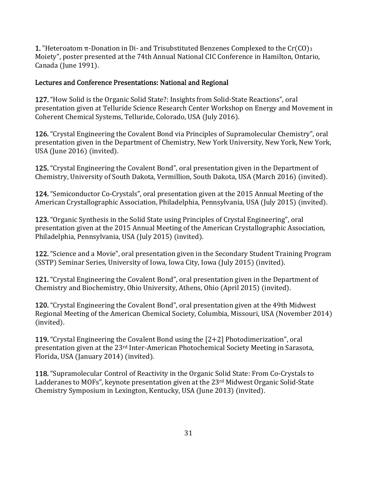**1.** "Heteroatom π-Donation in Di- and Trisubstituted Benzenes Complexed to the Cr(CO)<sub>3</sub> Moiety", poster presented at the 74th Annual National CIC Conference in Hamilton, Ontario, Canada (June 1991).

### Lectures and Conference Presentations: National and Regional

**127.** "How Solid is the Organic Solid State?: Insights from Solid-State Reactions", oral presentation given at Telluride Science Research Center Workshop on Energy and Movement in Coherent Chemical Systems, Telluride, Colorado, USA (July 2016).

126. "Crystal Engineering the Covalent Bond via Principles of Supramolecular Chemistry", oral presentation given in the Department of Chemistry, New York University, New York, New York, USA (June 2016) (invited).

125. "Crystal Engineering the Covalent Bond", oral presentation given in the Department of Chemistry, University of South Dakota, Vermillion, South Dakota, USA (March 2016) (invited).

124. "Semiconductor Co-Crystals", oral presentation given at the 2015 Annual Meeting of the American Crystallographic Association, Philadelphia, Pennsylvania, USA (July 2015) (invited).

**123.** "Organic Synthesis in the Solid State using Principles of Crystal Engineering", oral presentation given at the 2015 Annual Meeting of the American Crystallographic Association, Philadelphia, Pennsylvania, USA (July 2015) (invited).

**122.** "Science and a Movie", oral presentation given in the Secondary Student Training Program (SSTP) Seminar Series, University of Iowa, Iowa City, Iowa (July 2015) (invited).

121. "Crystal Engineering the Covalent Bond", oral presentation given in the Department of Chemistry and Biochemistry, Ohio University, Athens, Ohio (April 2015) (invited).

120. "Crystal Engineering the Covalent Bond", oral presentation given at the 49th Midwest Regional Meeting of the American Chemical Society, Columbia, Missouri, USA (November 2014) (invited).

119. "Crystal Engineering the Covalent Bond using the  $[2+2]$  Photodimerization", oral presentation given at the 23<sup>rd</sup> Inter-American Photochemical Society Meeting in Sarasota, Florida, USA (January 2014) (invited).

**118.** "Supramolecular Control of Reactivity in the Organic Solid State: From Co-Crystals to Ladderanes to MOFs", keynote presentation given at the 23<sup>rd</sup> Midwest Organic Solid-State Chemistry Symposium in Lexington, Kentucky, USA (June 2013) (invited).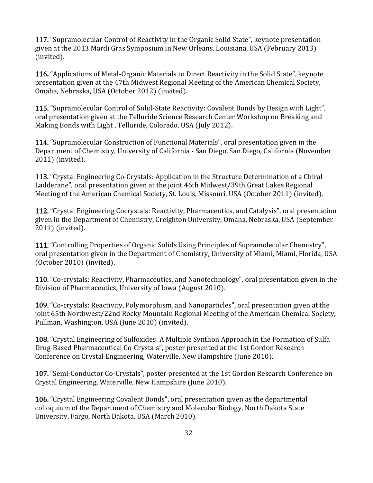117. "Supramolecular Control of Reactivity in the Organic Solid State", keynote presentation given at the 2013 Mardi Gras Symposium in New Orleans, Louisiana, USA (February 2013) (invited).

116. "Applications of Metal-Organic Materials to Direct Reactivity in the Solid State", keynote presentation given at the 47th Midwest Regional Meeting of the American Chemical Society, Omaha, Nebraska, USA (October 2012) (invited).

**115.** "Supramolecular Control of Solid-State Reactivity: Covalent Bonds by Design with Light", oral presentation given at the Telluride Science Research Center Workshop on Breaking and Making Bonds with Light, Telluride, Colorado, USA (July 2012).

**114.** "Supramolecular Construction of Functional Materials", oral presentation given in the Department of Chemistry, University of California - San Diego, San Diego, California (November 2011) (invited).

113. "Crystal Engineering Co-Crystals: Application in the Structure Determination of a Chiral Ladderane", oral presentation given at the joint 46th Midwest/39th Great Lakes Regional Meeting of the American Chemical Society, St. Louis, Missouri, USA (October 2011) (invited).

112. "Crystal Engineering Cocrystals: Reactivity, Pharmaceutics, and Catalysis", oral presentation given in the Department of Chemistry, Creighton University, Omaha, Nebraska, USA (September 2011) (invited).

111. "Controlling Properties of Organic Solids Using Principles of Supramolecular Chemistry", oral presentation given in the Department of Chemistry, University of Miami, Miami, Florida, USA  $(October 2010)$  (invited).

110. "Co-crystals: Reactivity, Pharmaceutics, and Nanotechnology", oral presentation given in the Division of Pharmaceutics, University of Iowa (August 2010).

109. "Co-crystals: Reactivity, Polymorphism, and Nanoparticles", oral presentation given at the joint 65th Northwest/22nd Rocky Mountain Regional Meeting of the American Chemical Society, Pullman, Washington, USA (June 2010) (invited).

108. "Crystal Engineering of Sulfoxides: A Multiple Synthon Approach in the Formation of Sulfa Drug-Based Pharmaceutical Co-Crystals", poster presented at the 1st Gordon Research Conference on Crystal Engineering, Waterville, New Hampshire (June 2010).

107. "Semi-Conductor Co-Crystals", poster presented at the 1st Gordon Research Conference on Crystal Engineering, Waterville, New Hampshire (June 2010).

106. "Crystal Engineering Covalent Bonds", oral presentation given as the departmental colloquium of the Department of Chemistry and Molecular Biology, North Dakota State University, Fargo, North Dakota, USA (March 2010).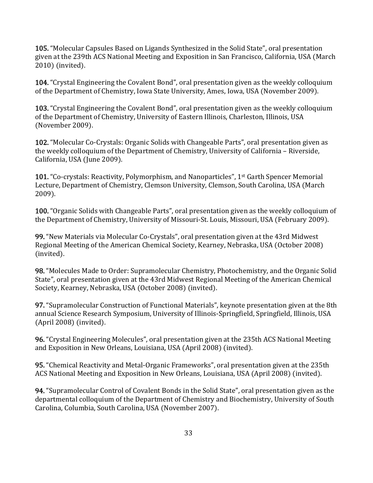105. "Molecular Capsules Based on Ligands Synthesized in the Solid State", oral presentation given at the 239th ACS National Meeting and Exposition in San Francisco, California, USA (March  $2010$ ) (invited).

104. "Crystal Engineering the Covalent Bond", oral presentation given as the weekly colloquium of the Department of Chemistry, Iowa State University, Ames, Iowa, USA (November 2009).

103. "Crystal Engineering the Covalent Bond", oral presentation given as the weekly colloquium of the Department of Chemistry, University of Eastern Illinois, Charleston, Illinois, USA (November 2009).

102. "Molecular Co-Crystals: Organic Solids with Changeable Parts", oral presentation given as the weekly colloquium of the Department of Chemistry, University of California - Riverside, California, USA (June 2009).

101. "Co-crystals: Reactivity, Polymorphism, and Nanoparticles", 1<sup>st</sup> Garth Spencer Memorial Lecture, Department of Chemistry, Clemson University, Clemson, South Carolina, USA (March 2009).

100. "Organic Solids with Changeable Parts", oral presentation given as the weekly colloquium of the Department of Chemistry, University of Missouri-St. Louis, Missouri, USA (February 2009).

99. "New Materials via Molecular Co-Crystals", oral presentation given at the 43rd Midwest Regional Meeting of the American Chemical Society, Kearney, Nebraska, USA (October 2008) (invited).

**98.** "Molecules Made to Order: Supramolecular Chemistry, Photochemistry, and the Organic Solid State", oral presentation given at the 43rd Midwest Regional Meeting of the American Chemical Society, Kearney, Nebraska, USA (October 2008) (invited).

**97.** "Supramolecular Construction of Functional Materials", keynote presentation given at the 8th annual Science Research Symposium, University of Illinois-Springfield, Springfield, Illinois, USA  $(April 2008)$  (invited).

**96.** "Crystal Engineering Molecules", oral presentation given at the 235th ACS National Meeting and Exposition in New Orleans, Louisiana, USA (April 2008) (invited).

95. "Chemical Reactivity and Metal-Organic Frameworks", oral presentation given at the 235th ACS National Meeting and Exposition in New Orleans, Louisiana, USA (April 2008) (invited).

**94.** "Supramolecular Control of Covalent Bonds in the Solid State", oral presentation given as the departmental colloquium of the Department of Chemistry and Biochemistry, University of South Carolina, Columbia, South Carolina, USA (November 2007).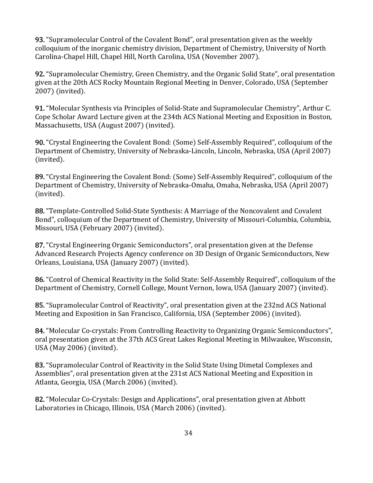93. "Supramolecular Control of the Covalent Bond", oral presentation given as the weekly colloquium of the inorganic chemistry division, Department of Chemistry, University of North Carolina-Chapel Hill, Chapel Hill, North Carolina, USA (November 2007).

**92.** "Supramolecular Chemistry, Green Chemistry, and the Organic Solid State", oral presentation given at the 20th ACS Rocky Mountain Regional Meeting in Denver, Colorado, USA (September 2007) (invited).

91. "Molecular Synthesis via Principles of Solid-State and Supramolecular Chemistry", Arthur C. Cope Scholar Award Lecture given at the 234th ACS National Meeting and Exposition in Boston, Massachusetts, USA (August 2007) (invited).

90. "Crystal Engineering the Covalent Bond: (Some) Self-Assembly Required", colloquium of the Department of Chemistry, University of Nebraska-Lincoln, Lincoln, Nebraska, USA (April 2007) (invited).

89. "Crystal Engineering the Covalent Bond: (Some) Self-Assembly Required", colloquium of the Department of Chemistry, University of Nebraska-Omaha, Omaha, Nebraska, USA (April 2007) (invited).

88. "Template-Controlled Solid-State Synthesis: A Marriage of the Noncovalent and Covalent Bond", colloquium of the Department of Chemistry, University of Missouri-Columbia, Columbia, Missouri, USA (February 2007) (invited).

87. "Crystal Engineering Organic Semiconductors", oral presentation given at the Defense Advanced Research Projects Agency conference on 3D Design of Organic Semiconductors, New Orleans, Louisiana, USA (January 2007) (invited).

86. "Control of Chemical Reactivity in the Solid State: Self-Assembly Required", colloquium of the Department of Chemistry, Cornell College, Mount Vernon, Iowa, USA (January 2007) (invited).

85. "Supramolecular Control of Reactivity", oral presentation given at the 232nd ACS National Meeting and Exposition in San Francisco, California, USA (September 2006) (invited).

84. "Molecular Co-crystals: From Controlling Reactivity to Organizing Organic Semiconductors", oral presentation given at the 37th ACS Great Lakes Regional Meeting in Milwaukee, Wisconsin, USA (May 2006) (invited).

83. "Supramolecular Control of Reactivity in the Solid State Using Dimetal Complexes and Assemblies", oral presentation given at the 231st ACS National Meeting and Exposition in Atlanta, Georgia, USA (March 2006) (invited).

82. "Molecular Co-Crystals: Design and Applications", oral presentation given at Abbott Laboratories in Chicago, Illinois, USA (March 2006) (invited).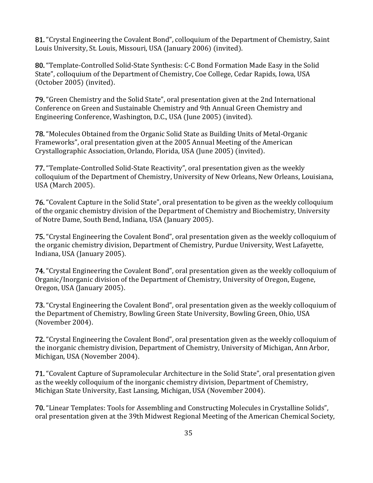81. "Crystal Engineering the Covalent Bond", colloquium of the Department of Chemistry, Saint Louis University, St. Louis, Missouri, USA (January 2006) (invited).

80. "Template-Controlled Solid-State Synthesis: C-C Bond Formation Made Easy in the Solid State", colloquium of the Department of Chemistry, Coe College, Cedar Rapids, Iowa, USA  $(October 2005) (invited).$ 

79. "Green Chemistry and the Solid State", oral presentation given at the 2nd International Conference on Green and Sustainable Chemistry and 9th Annual Green Chemistry and Engineering Conference, Washington, D.C., USA (June 2005) (invited).

**78.** "Molecules Obtained from the Organic Solid State as Building Units of Metal-Organic Frameworks", oral presentation given at the 2005 Annual Meeting of the American Crystallographic Association, Orlando, Florida, USA (June 2005) (invited).

77. "Template-Controlled Solid-State Reactivity", oral presentation given as the weekly colloquium of the Department of Chemistry, University of New Orleans, New Orleans, Louisiana, USA (March 2005).

**76.** "Covalent Capture in the Solid State", oral presentation to be given as the weekly colloquium of the organic chemistry division of the Department of Chemistry and Biochemistry, University of Notre Dame, South Bend, Indiana, USA (January 2005).

75. "Crystal Engineering the Covalent Bond", oral presentation given as the weekly colloquium of the organic chemistry division, Department of Chemistry, Purdue University, West Lafayette, Indiana, USA (January 2005).

74. "Crystal Engineering the Covalent Bond", oral presentation given as the weekly colloquium of Organic/Inorganic division of the Department of Chemistry, University of Oregon, Eugene, Oregon, USA (January 2005).

73. "Crystal Engineering the Covalent Bond", oral presentation given as the weekly colloquium of the Department of Chemistry, Bowling Green State University, Bowling Green, Ohio, USA (November 2004).

72. "Crystal Engineering the Covalent Bond", oral presentation given as the weekly colloquium of the inorganic chemistry division, Department of Chemistry, University of Michigan, Ann Arbor, Michigan, USA (November 2004).

**71.** "Covalent Capture of Supramolecular Architecture in the Solid State", oral presentation given as the weekly colloquium of the inorganic chemistry division, Department of Chemistry, Michigan State University, East Lansing, Michigan, USA (November 2004).

**70.** "Linear Templates: Tools for Assembling and Constructing Molecules in Crystalline Solids", oral presentation given at the 39th Midwest Regional Meeting of the American Chemical Society,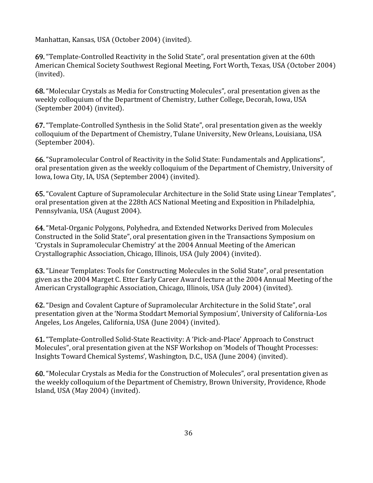Manhattan, Kansas, USA (October 2004) (invited).

69. "Template-Controlled Reactivity in the Solid State", oral presentation given at the 60th American Chemical Society Southwest Regional Meeting, Fort Worth, Texas, USA (October 2004) (invited).

68. "Molecular Crystals as Media for Constructing Molecules", oral presentation given as the weekly colloquium of the Department of Chemistry, Luther College, Decorah, Iowa, USA (September 2004) (invited).

67. "Template-Controlled Synthesis in the Solid State", oral presentation given as the weekly colloquium of the Department of Chemistry, Tulane University, New Orleans, Louisiana, USA (September 2004).

**66.** "Supramolecular Control of Reactivity in the Solid State: Fundamentals and Applications", oral presentation given as the weekly colloquium of the Department of Chemistry, University of Iowa, Iowa City, IA, USA (September 2004) (invited).

**65.** "Covalent Capture of Supramolecular Architecture in the Solid State using Linear Templates", oral presentation given at the 228th ACS National Meeting and Exposition in Philadelphia, Pennsylvania, USA (August 2004).

64. "Metal-Organic Polygons, Polyhedra, and Extended Networks Derived from Molecules Constructed in the Solid State", oral presentation given in the Transactions Symposium on 'Crystals in Supramolecular Chemistry' at the 2004 Annual Meeting of the American Crystallographic Association, Chicago, Illinois, USA (July 2004) (invited).

63. "Linear Templates: Tools for Constructing Molecules in the Solid State", oral presentation given as the 2004 Marget C. Etter Early Career Award lecture at the 2004 Annual Meeting of the American Crystallographic Association, Chicago, Illinois, USA (July 2004) (invited).

62. "Design and Covalent Capture of Supramolecular Architecture in the Solid State", oral presentation given at the 'Norma Stoddart Memorial Symposium', University of California-Los Angeles, Los Angeles, California, USA (June 2004) (invited).

61. "Template-Controlled Solid-State Reactivity: A 'Pick-and-Place' Approach to Construct Molecules", oral presentation given at the NSF Workshop on 'Models of Thought Processes: Insights Toward Chemical Systems', Washington, D.C., USA (June 2004) (invited).

60. "Molecular Crystals as Media for the Construction of Molecules", oral presentation given as the weekly colloquium of the Department of Chemistry, Brown University, Providence, Rhode Island, USA (May 2004) (invited).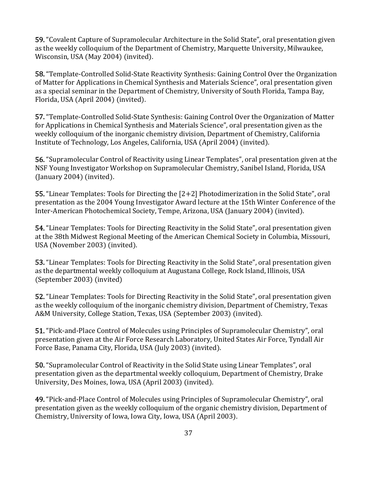**59.** "Covalent Capture of Supramolecular Architecture in the Solid State", oral presentation given as the weekly colloquium of the Department of Chemistry, Marquette University, Milwaukee, Wisconsin, USA (May 2004) (invited).

**58.** "Template-Controlled Solid-State Reactivity Synthesis: Gaining Control Over the Organization of Matter for Applications in Chemical Synthesis and Materials Science", oral presentation given as a special seminar in the Department of Chemistry, University of South Florida, Tampa Bay, Florida, USA (April 2004) (invited).

**57.** "Template-Controlled Solid-State Synthesis: Gaining Control Over the Organization of Matter for Applications in Chemical Synthesis and Materials Science", oral presentation given as the weekly colloquium of the inorganic chemistry division, Department of Chemistry, California Institute of Technology, Los Angeles, California, USA (April 2004) (invited).

**56.** "Supramolecular Control of Reactivity using Linear Templates", oral presentation given at the NSF Young Investigator Workshop on Supramolecular Chemistry, Sanibel Island, Florida, USA  $($ January 2004 $)$  (invited).

**55.** "Linear Templates: Tools for Directing the  $[2+2]$  Photodimerization in the Solid State", oral presentation as the 2004 Young Investigator Award lecture at the 15th Winter Conference of the Inter-American Photochemical Society, Tempe, Arizona, USA (January 2004) (invited).

54. "Linear Templates: Tools for Directing Reactivity in the Solid State", oral presentation given at the 38th Midwest Regional Meeting of the American Chemical Society in Columbia, Missouri, USA (November 2003) (invited).

**53.** "Linear Templates: Tools for Directing Reactivity in the Solid State", oral presentation given as the departmental weekly colloquium at Augustana College, Rock Island, Illinois, USA  $(September 2003)$  (invited)

**52.** "Linear Templates: Tools for Directing Reactivity in the Solid State", oral presentation given as the weekly colloquium of the inorganic chemistry division, Department of Chemistry, Texas A&M University, College Station, Texas, USA (September 2003) (invited).

**51.** "Pick-and-Place Control of Molecules using Principles of Supramolecular Chemistry", oral presentation given at the Air Force Research Laboratory, United States Air Force, Tyndall Air Force Base, Panama City, Florida, USA (July 2003) (invited).

**50.** "Supramolecular Control of Reactivity in the Solid State using Linear Templates", oral presentation given as the departmental weekly colloquium, Department of Chemistry, Drake University, Des Moines, Iowa, USA (April 2003) (invited).

49. "Pick-and-Place Control of Molecules using Principles of Supramolecular Chemistry", oral presentation given as the weekly colloquium of the organic chemistry division, Department of Chemistry, University of Iowa, Iowa City, Iowa, USA (April 2003).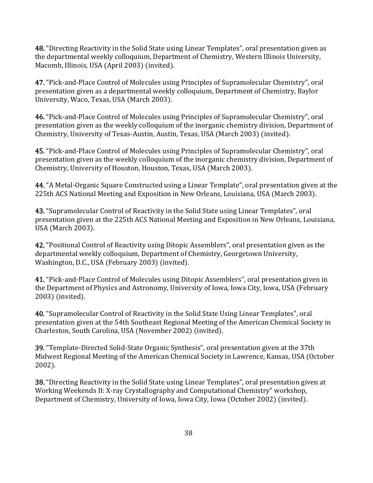48. "Directing Reactivity in the Solid State using Linear Templates", oral presentation given as the departmental weekly colloquium, Department of Chemistry, Western Illinois University, Macomb, Illinois, USA (April 2003) (invited).

47. "Pick-and-Place Control of Molecules using Principles of Supramolecular Chemistry", oral presentation given as a departmental weekly colloquium, Department of Chemistry, Baylor University, Waco, Texas, USA (March 2003).

**46.** "Pick-and-Place Control of Molecules using Principles of Supramolecular Chemistry", oral presentation given as the weekly colloquium of the inorganic chemistry division, Department of Chemistry, University of Texas-Austin, Austin, Texas, USA (March 2003) (invited).

45. "Pick-and-Place Control of Molecules using Principles of Supramolecular Chemistry", oral presentation given as the weekly colloquium of the inorganic chemistry division, Department of Chemistry, University of Houston, Houston, Texas, USA (March 2003).

44. "A Metal-Organic Square Constructed using a Linear Template", oral presentation given at the 225th ACS National Meeting and Exposition in New Orleans, Louisiana, USA (March 2003).

43. "Supramolecular Control of Reactivity in the Solid State using Linear Templates", oral presentation given at the 225th ACS National Meeting and Exposition in New Orleans, Louisiana, USA (March 2003).

42. "Positional Control of Reactivity using Ditopic Assemblers", oral presentation given as the departmental weekly colloquium, Department of Chemistry, Georgetown University, Washington, D.C., USA (February 2003) (invited).

41. "Pick-and-Place Control of Molecules using Ditopic Assemblers", oral presentation given in the Department of Physics and Astronomy, University of Iowa, Iowa City, Iowa, USA (February 2003) (invited).

40. "Supramolecular Control of Reactivity in the Solid State Using Linear Templates", oral presentation given at the 54th Southeast Regional Meeting of the American Chemical Society in Charleston, South Carolina, USA (November 2002) (invited).

39. "Template-Directed Solid-State Organic Synthesis", oral presentation given at the 37th Midwest Regional Meeting of the American Chemical Society in Lawrence, Kansas, USA (October 2002).

38. "Directing Reactivity in the Solid State using Linear Templates", oral presentation given at Working Weekends II: X-ray Crystallography and Computational Chemistry" workshop, Department of Chemistry, University of Iowa, Iowa City, Iowa (October 2002) (invited).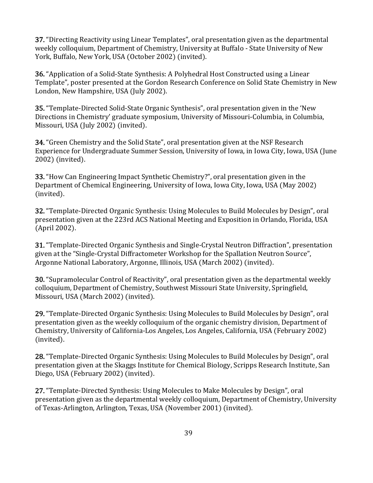37. "Directing Reactivity using Linear Templates", oral presentation given as the departmental weekly colloquium, Department of Chemistry, University at Buffalo - State University of New York, Buffalo, New York, USA (October 2002) (invited).

**36.** "Application of a Solid-State Synthesis: A Polyhedral Host Constructed using a Linear Template", poster presented at the Gordon Research Conference on Solid State Chemistry in New London, New Hampshire, USA (July 2002).

35. "Template-Directed Solid-State Organic Synthesis", oral presentation given in the 'New Directions in Chemistry' graduate symposium, University of Missouri-Columbia, in Columbia, Missouri, USA (July 2002) (invited).

**34.** "Green Chemistry and the Solid State", oral presentation given at the NSF Research Experience for Undergraduate Summer Session, University of Iowa, in Iowa City, Iowa, USA (June 2002) (invited).

33. "How Can Engineering Impact Synthetic Chemistry?", oral presentation given in the Department of Chemical Engineering, University of Iowa, Iowa City, Iowa, USA (May 2002) (invited).

**32.** "Template-Directed Organic Synthesis: Using Molecules to Build Molecules by Design", oral presentation given at the 223rd ACS National Meeting and Exposition in Orlando, Florida, USA (April 2002).

**31.** "Template-Directed Organic Synthesis and Single-Crystal Neutron Diffraction", presentation given at the "Single-Crystal Diffractometer Workshop for the Spallation Neutron Source", Argonne National Laboratory, Argonne, Illinois, USA (March 2002) (invited).

**30.** "Supramolecular Control of Reactivity", oral presentation given as the departmental weekly colloquium, Department of Chemistry, Southwest Missouri State University, Springfield, Missouri, USA (March 2002) (invited).

29. "Template-Directed Organic Synthesis: Using Molecules to Build Molecules by Design", oral presentation given as the weekly colloquium of the organic chemistry division, Department of Chemistry, University of California-Los Angeles, Los Angeles, California, USA (February 2002) (invited).

28. "Template-Directed Organic Synthesis: Using Molecules to Build Molecules by Design", oral presentation given at the Skaggs Institute for Chemical Biology, Scripps Research Institute, San Diego, USA (February 2002) (invited).

27. "Template-Directed Synthesis: Using Molecules to Make Molecules by Design", oral presentation given as the departmental weekly colloquium, Department of Chemistry, University of Texas-Arlington, Arlington, Texas, USA (November 2001) (invited).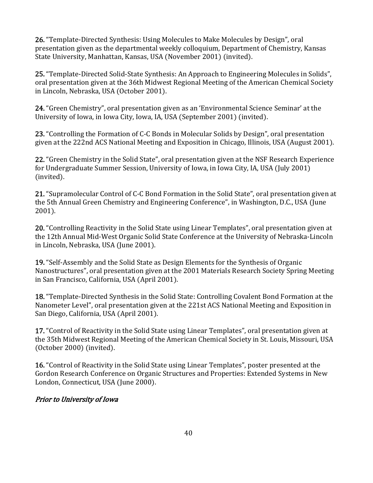26. "Template-Directed Synthesis: Using Molecules to Make Molecules by Design", oral presentation given as the departmental weekly colloquium, Department of Chemistry, Kansas State University, Manhattan, Kansas, USA (November 2001) (invited).

25. "Template-Directed Solid-State Synthesis: An Approach to Engineering Molecules in Solids", oral presentation given at the 36th Midwest Regional Meeting of the American Chemical Society in Lincoln, Nebraska, USA (October 2001).

24. "Green Chemistry", oral presentation given as an 'Environmental Science Seminar' at the University of Iowa, in Iowa City, Iowa, IA, USA (September 2001) (invited).

23. "Controlling the Formation of C-C Bonds in Molecular Solids by Design", oral presentation given at the 222nd ACS National Meeting and Exposition in Chicago, Illinois, USA (August 2001).

22. "Green Chemistry in the Solid State", oral presentation given at the NSF Research Experience for Undergraduate Summer Session, University of Iowa, in Iowa City, IA, USA (July 2001) (invited).

21. "Supramolecular Control of C-C Bond Formation in the Solid State", oral presentation given at the 5th Annual Green Chemistry and Engineering Conference", in Washington, D.C., USA (June  $2001$ ).

20. "Controlling Reactivity in the Solid State using Linear Templates", oral presentation given at the 12th Annual Mid-West Organic Solid State Conference at the University of Nebraska-Lincoln in Lincoln, Nebraska, USA (June 2001).

19. "Self-Assembly and the Solid State as Design Elements for the Synthesis of Organic Nanostructures", oral presentation given at the 2001 Materials Research Society Spring Meeting in San Francisco, California, USA (April 2001).

18. "Template-Directed Synthesis in the Solid State: Controlling Covalent Bond Formation at the Nanometer Level", oral presentation given at the 221st ACS National Meeting and Exposition in San Diego, California, USA (April 2001).

17. "Control of Reactivity in the Solid State using Linear Templates", oral presentation given at the 35th Midwest Regional Meeting of the American Chemical Society in St. Louis, Missouri, USA  $(October\ 2000)$   $(i nvited).$ 

**16.** "Control of Reactivity in the Solid State using Linear Templates", poster presented at the Gordon Research Conference on Organic Structures and Properties: Extended Systems in New London, Connecticut, USA (June 2000).

# Prior to University of Iowa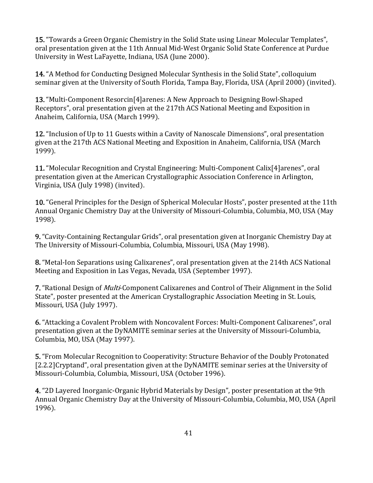**15.** "Towards a Green Organic Chemistry in the Solid State using Linear Molecular Templates", oral presentation given at the 11th Annual Mid-West Organic Solid State Conference at Purdue University in West LaFayette, Indiana, USA (June 2000).

14. "A Method for Conducting Designed Molecular Synthesis in the Solid State", colloquium seminar given at the University of South Florida, Tampa Bay, Florida, USA (April 2000) (invited).

13. "Multi-Component Resorcin<sup>[4]</sup>arenes: A New Approach to Designing Bowl-Shaped Receptors", oral presentation given at the 217th ACS National Meeting and Exposition in Anaheim, California, USA (March 1999).

12. "Inclusion of Up to 11 Guests within a Cavity of Nanoscale Dimensions", oral presentation given at the 217th ACS National Meeting and Exposition in Anaheim, California, USA (March 1999).

11. "Molecular Recognition and Crystal Engineering: Multi-Component Calix<sup>[4]</sup>arenes", oral presentation given at the American Crystallographic Association Conference in Arlington, Virginia, USA (July 1998) (invited).

10. "General Principles for the Design of Spherical Molecular Hosts", poster presented at the 11th Annual Organic Chemistry Day at the University of Missouri-Columbia, Columbia, MO, USA (May 1998).

9. "Cavity-Containing Rectangular Grids", oral presentation given at Inorganic Chemistry Day at The University of Missouri-Columbia, Columbia, Missouri, USA (May 1998).

8. "Metal-Ion Separations using Calixarenes", oral presentation given at the 214th ACS National Meeting and Exposition in Las Vegas, Nevada, USA (September 1997).

7. "Rational Design of *Multi*-Component Calixarenes and Control of Their Alignment in the Solid State", poster presented at the American Crystallographic Association Meeting in St. Louis, Missouri, USA (July 1997).

6. "Attacking a Covalent Problem with Noncovalent Forces: Multi-Component Calixarenes", oral presentation given at the DyNAMITE seminar series at the University of Missouri-Columbia, Columbia, MO, USA (May 1997).

**5.** "From Molecular Recognition to Cooperativity: Structure Behavior of the Doubly Protonated [2.2.2]Cryptand", oral presentation given at the DyNAMITE seminar series at the University of Missouri-Columbia, Columbia, Missouri, USA (October 1996).

4. "2D Layered Inorganic-Organic Hybrid Materials by Design", poster presentation at the 9th Annual Organic Chemistry Day at the University of Missouri-Columbia, Columbia, MO, USA (April 1996).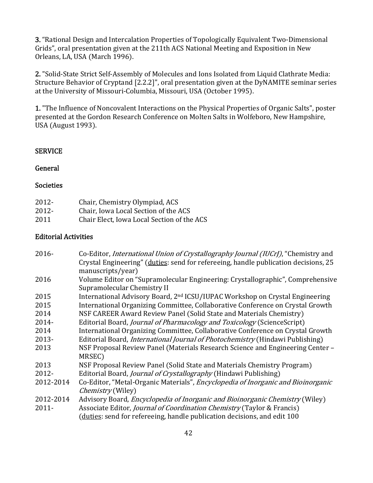3. "Rational Design and Intercalation Properties of Topologically Equivalent Two-Dimensional Grids", oral presentation given at the 211th ACS National Meeting and Exposition in New Orleans, LA, USA (March 1996).

2. "Solid-State Strict Self-Assembly of Molecules and Ions Isolated from Liquid Clathrate Media: Structure Behavior of Cryptand [2.2.2]", oral presentation given at the DyNAMITE seminar series at the University of Missouri-Columbia, Missouri, USA (October 1995).

1. "The Influence of Noncovalent Interactions on the Physical Properties of Organic Salts", poster presented at the Gordon Research Conference on Molten Salts in Wolfeboro, New Hampshire, USA (August 1993).

### **SERVICE**

#### General

#### **Societies**

| 2012- | Chair, Chemistry Olympiad, ACS             |
|-------|--------------------------------------------|
| 2012- | Chair, Iowa Local Section of the ACS       |
| 2011  | Chair Elect, Iowa Local Section of the ACS |

### **Editorial Activities**

| 2016-     | Co-Editor, International Union of Crystallography Journal (IUCrJ), "Chemistry and<br>Crystal Engineering" (duties: send for refereeing, handle publication decisions, 25<br>manuscripts/year) |
|-----------|-----------------------------------------------------------------------------------------------------------------------------------------------------------------------------------------------|
| 2016      | Volume Editor on "Supramolecular Engineering: Crystallographic", Comprehensive<br>Supramolecular Chemistry II                                                                                 |
| 2015      | International Advisory Board, 2 <sup>nd</sup> ICSU/IUPAC Workshop on Crystal Engineering                                                                                                      |
| 2015      | International Organizing Committee, Collaborative Conference on Crystal Growth                                                                                                                |
| 2014      | NSF CAREER Award Review Panel (Solid State and Materials Chemistry)                                                                                                                           |
| $2014 -$  | Editorial Board, Journal of Pharmacology and Toxicology (ScienceScript)                                                                                                                       |
| 2014      | International Organizing Committee, Collaborative Conference on Crystal Growth                                                                                                                |
| $2013 -$  | Editorial Board, <i>International Journal of Photochemistry</i> (Hindawi Publishing)                                                                                                          |
| 2013      | NSF Proposal Review Panel (Materials Research Science and Engineering Center -<br>MRSEC)                                                                                                      |
| 2013      | NSF Proposal Review Panel (Solid State and Materials Chemistry Program)                                                                                                                       |
| 2012-     | Editorial Board, <i>Journal of Crystallography</i> (Hindawi Publishing)                                                                                                                       |
| 2012-2014 | Co-Editor, "Metal-Organic Materials", <i>Encyclopedia of Inorganic and Bioinorganic</i><br><i>Chemistry</i> (Wiley)                                                                           |
| 2012-2014 | Advisory Board, <i>Encyclopedia of Inorganic and Bioinorganic Chemistry</i> (Wiley)                                                                                                           |
| $2011 -$  | Associate Editor, Journal of Coordination Chemistry (Taylor & Francis)<br>(duties: send for refereeing, handle publication decisions, and edit 100                                            |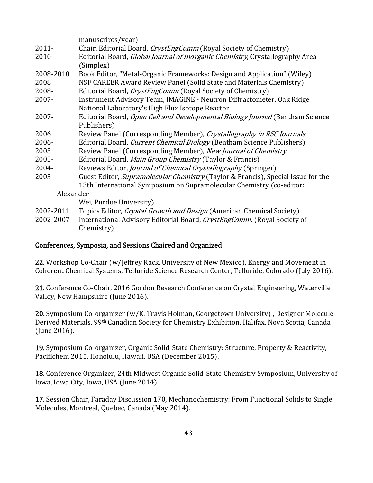|           | manuscripts/year)                                                                       |
|-----------|-----------------------------------------------------------------------------------------|
| $2011 -$  | Chair, Editorial Board, <i>CrystEngComm</i> (Royal Society of Chemistry)                |
| $2010 -$  | Editorial Board, <i>Global Journal of Inorganic Chemistry</i> , Crystallography Area    |
|           | (Simplex)                                                                               |
| 2008-2010 | Book Editor, "Metal-Organic Frameworks: Design and Application" (Wiley)                 |
| 2008      | NSF CAREER Award Review Panel (Solid State and Materials Chemistry)                     |
| 2008-     | Editorial Board, <i>CrystEngComm</i> (Royal Society of Chemistry)                       |
| 2007-     | Instrument Advisory Team, IMAGINE - Neutron Diffractometer, Oak Ridge                   |
|           | National Laboratory's High Flux Isotope Reactor                                         |
| 2007-     | Editorial Board, Open Cell and Developmental Biology Journal (Bentham Science           |
|           | Publishers)                                                                             |
| 2006      | Review Panel (Corresponding Member), Crystallography in RSC Journals                    |
| 2006-     | Editorial Board, Current Chemical Biology (Bentham Science Publishers)                  |
| 2005      | Review Panel (Corresponding Member), New Journal of Chemistry                           |
| 2005-     | Editorial Board, Main Group Chemistry (Taylor & Francis)                                |
| 2004-     | Reviews Editor, <i>Journal of Chemical Crystallography</i> (Springer)                   |
| 2003      | Guest Editor, <i>Supramolecular Chemistry</i> (Taylor & Francis), Special Issue for the |
|           | 13th International Symposium on Supramolecular Chemistry (co-editor:                    |
| Alexander |                                                                                         |
|           | Wei, Purdue University)                                                                 |
| 2002-2011 | Topics Editor, Crystal Growth and Design (American Chemical Society)                    |
| 2002-2007 | International Advisory Editorial Board, CrystEngComm. (Royal Society of                 |
|           | Chemistry)                                                                              |

#### Conferences, Symposia, and Sessions Chaired and Organized

22. Workshop Co-Chair (w/Jeffrey Rack, University of New Mexico), Energy and Movement in Coherent Chemical Systems, Telluride Science Research Center, Telluride, Colorado (July 2016).

21. Conference Co-Chair, 2016 Gordon Research Conference on Crystal Engineering, Waterville Valley, New Hampshire (June 2016).

20. Symposium Co-organizer (w/K. Travis Holman, Georgetown University), Designer Molecule-Derived Materials, 99<sup>th</sup> Canadian Society for Chemistry Exhibition, Halifax, Nova Scotia, Canada  $(June 2016)$ .

19. Symposium Co-organizer, Organic Solid-State Chemistry: Structure, Property & Reactivity, Pacifichem 2015, Honolulu, Hawaii, USA (December 2015).

18. Conference Organizer, 24th Midwest Organic Solid-State Chemistry Symposium, University of Iowa, Iowa City, Iowa, USA (June 2014).

17. Session Chair, Faraday Discussion 170, Mechanochemistry: From Functional Solids to Single Molecules, Montreal, Quebec, Canada (May 2014).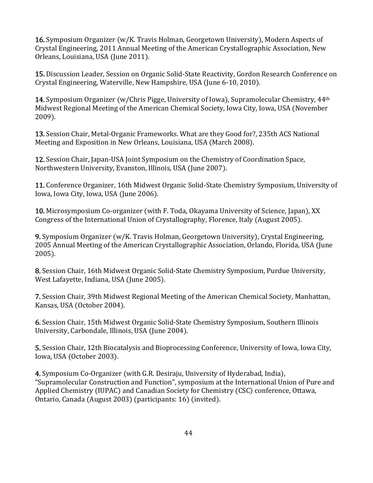**16.** Symposium Organizer  $(w/K)$ . Travis Holman, Georgetown University), Modern Aspects of Crystal Engineering, 2011 Annual Meeting of the American Crystallographic Association, New Orleans, Louisiana, USA (June 2011).

15. Discussion Leader, Session on Organic Solid-State Reactivity, Gordon Research Conference on Crystal Engineering, Waterville, New Hampshire, USA (June 6-10, 2010).

**14.** Symposium Organizer (w/Chris Pigge, University of Iowa), Supramolecular Chemistry,  $44<sup>th</sup>$ Midwest Regional Meeting of the American Chemical Society, Iowa City, Iowa, USA (November 2009).

13. Session Chair, Metal-Organic Frameworks. What are they Good for?, 235th ACS National Meeting and Exposition in New Orleans, Louisiana, USA (March 2008).

12. Session Chair, Japan-USA Joint Symposium on the Chemistry of Coordination Space, Northwestern University, Evanston, Illinois, USA (June 2007).

11. Conference Organizer, 16th Midwest Organic Solid-State Chemistry Symposium, University of Iowa, Iowa City, Iowa, USA (June 2006).

10. Microsymposium Co-organizer (with F. Toda, Okayama University of Science, Japan), XX Congress of the International Union of Crystallography, Florence, Italy (August 2005).

**9.** Symposium Organizer  $(w/K$ . Travis Holman, Georgetown University), Crystal Engineering, 2005 Annual Meeting of the American Crystallographic Association, Orlando, Florida, USA (June 2005).

8. Session Chair, 16th Midwest Organic Solid-State Chemistry Symposium, Purdue University, West Lafayette, Indiana, USA (June 2005).

**7.** Session Chair, 39th Midwest Regional Meeting of the American Chemical Society, Manhattan, Kansas, USA (October 2004).

6. Session Chair, 15th Midwest Organic Solid-State Chemistry Symposium, Southern Illinois University, Carbondale, Illinois, USA (June 2004).

5. Session Chair, 12th Biocatalysis and Bioprocessing Conference, University of Iowa, Iowa City, Iowa, USA (October 2003).

4. Symposium Co-Organizer (with G.R. Desiraju, University of Hyderabad, India), "Supramolecular Construction and Function", symposium at the International Union of Pure and Applied Chemistry (IUPAC) and Canadian Society for Chemistry (CSC) conference, Ottawa, Ontario, Canada (August 2003) (participants: 16) (invited).